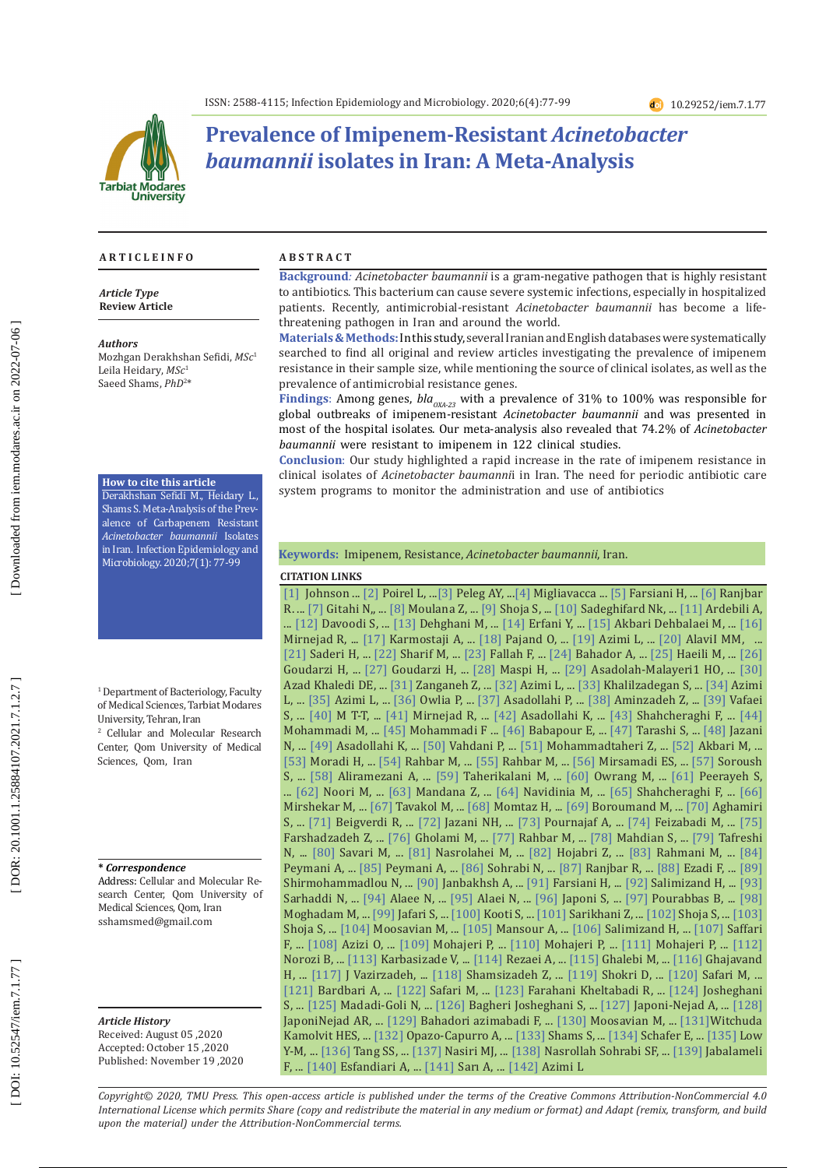

# **Prevalence of Imipenem-Resistant** *Acinetobacter baumannii* **isolates in Iran: A Meta-Analysis**

#### **A R T I C L E I N F O**

*Article Type* **Review Article**

#### *Authors*

Mozhgan Derakhshan Sefidi, *MSc* 1 Leila Heidary, *MSc* 1 Saeed Shams, *PhD* 2 \*

## **How to cite this article**

Derakhshan Sefidi M., Heidary L., Shams S. Meta-Analysis of the Prev alence of Carbapenem Resistant *Acinetobacter baumannii* Isolates in Iran. Infection Epidemiology and Microbiology. 2020;7(1): 77-99

1 Department of Bacteriology, Faculty of Medical Sciences, Tarbiat Modares University, Tehran, Iran

2 Cellular and Molecular Research Center, Qom University of Medical Sciences, Qom, Iran

**\*** *Correspondence*

Address: Cellular and Molecular Re search Center, Qom University of Medical Sciences, Qom, Iran sshamsmed@gmail.com

*Article History* Received: August 05 ,2020 Accepted: October 15 ,2020 Published: November 19 ,2020

#### **A B S T R A C T**

**Background***: Acinetobacter baumannii* is a gram-negative pathogen that is highly resistant to antibiotics. This bacterium can cause severe systemic infections, especially in hospitalized patients. Recently, antimicrobial-resistant *Acinetobacter baumannii* has become a lifethreatening pathogen in Iran and around the world.

**Materials & Methods:**In this study, several Iranian and English databases were systematically searched to find all original and review articles investigating the prevalence of imipenem resistance in their sample size, while mentioning the source of clinical isolates, as well as the prevalence of antimicrobial resistance genes.

Findings: Among genes, *bla<sub>oxA-23</sub>* with a prevalence of 31% to 100% was responsible for global outbreaks of imipenem-resistant *Acinetobacter baumannii* and was presented in most of the hospital isolates. Our meta-analysis also revealed that 74.2% of *Acinetobacter baumannii* were resistant to imipenem in 122 clinical studies.

**Conclusion**: Our study highlighted a rapid increase in the rate of imipenem resistance in clinical isolates of *Acinetobacter baumanni*i in Iran. The need for periodic antibiotic care system programs to monitor the administration and use of antibiotics

**Keywords:** Imipenem, Resistance, *Acinetobacter baumannii*, Iran.

#### **CITATION LINKS**

**CITATION LINKS** Azad Khaledi DE, ... [\[31\]](https://www.ncbi.nlm.nih.gov/pmc/articles/pmc4609178/) Zanganeh Z, ... [\[32\]](https://www.ncbi.nlm.nih.gov/pmc/articles/PMC3850232/) Azimi L, ... [\[33\]](https://www.ncbi.nlm.nih.gov/pmc/articles/pmc4976061/) Khalilzadegan S, ... [\[34\]](https://www.ncbi.nlm.nih.gov/pmc/articles/pmc3506210/) Azimi [\[1\]](https://www.sciencedirect.com/science/article/pii/S0732889316302644) Johnson ... [\[2\]](https://www.sciencedirect.com/science/article/pii/S1198743X14643007) Poirel L, ...[\[3\]](https://cmr.asm.org/content/21/3/538.short) Peleg AY, ..[.\[4\]](https://www.sciencedirect.com/science/article/pii/S0732889312004464) Migliavacca ... [\[5\]](https://www.microbiologyresearch.org/content/journal/jmm/10.1099/jmm.0.000090) Farsiani H, ... [\[6\]](https://link.springer.com/article/10.1186/s13756-019-0612-5) Ranjbar R. ... [\[7\]](https://f1000research.com/articles/9-92) Gitahi N,, ... [\[8\]](https://www.ncbi.nlm.nih.gov/pmc/articles/PMC7265521/) Moulana Z, ... [\[9\]](https://www.sciencedirect.com/science/article/pii/S1726490117300138) Shoja S, ... [\[10\]](https://www.sid.ir/en/journal/ViewPaper.aspx?id=128539) Sadeghifard Nk, ... [\[11\]](https://zums.ac.ir/journal/browse.php?a_id=2005&sid=1&slc_lang=en) Ardebili A, ... [\[12\]](https://www.ncbi.nlm.nih.gov/pmc/articles/PMC5434989/) Davoodi S, ... [\[13\]](https://www.cabdirect.org/globalhealth/abstract/20123328679) Dehghani M, ... [\[14\]](https://www.researchgate.net/profile/Yousef_Erfani/publication/320356985_Detection_of_bla_NDM_-1_bla_VIM_and_bla_IMP_genes_in_multidrug-resistant_Acinetobacter_baumannii_and_Pseudomonas_aeruginosa_from_clinical_isolates_in_Tehran_hospitals/links/59dfc1c2a\
ca272386b630f8d/Detection-of-bla-NDM-1-bla-VIM-and-bla-IMP-genes-in-multidrug-resistant-Acinetobacter-baumannii-and-Pseudomonas-aeruginosa-from-clinical-isolates-in-Tehran-hospitals.pdf) Erfani Y, ... [\[15\]](https://www.sid.ir/FileServer/JE/130420170703.pdf) Akbari Dehbalaei M, ... [\[16\]](http://sjh.umsha.ac.ir/browse.php?a_code=A-10-2-185&slc_lang=en&sid=1&sw=Integron+Class+2)  Mirnejad R, ... [\[17\]](https://www.researchgate.net/profile/Afsaneh_Karmostaji/publication/258034030_Distribution_of_OXA-Type_Class_D_b-Lactamase_Genes_Among_Nosocomial_Multi_Drug_Resistant_Acinetobacter_baumannii_Isolated_in_Tehran_Hospitals/links/575666d208ae0405a57585d8/Dist\
ribution-of-OXA-Type-Class-D-b-Lactamase-Genes-Among-Nosocomial-Multi-Drug-Resistant-Acinetobacter-baumannii-Isolated-in-Tehran-Hospitals.pdf) Karmostaji A, ... [\[18\]](https://www.sciencedirect.com/science/article/pii/S0305417913001034) Pajand O, ... [\[19\]](https://www.ncbi.nlm.nih.gov/pmc/articles/PMC4359705/) Azimi L, ... [\[20\]](https://www.ncbi.nlm.nih.gov/pmc/articles/PMC4143744/) AlaviI MM, ... [\[21\]](https://www.sid.ir/en/journal/ViewPaper.aspx?ID=475061) Saderi H, ... [\[22\]](https://www.researchgate.net/publication/284590317_Molecular_identification_of_TEM_and_SHV_extended_spectrum_beta-lactamase_in_clinical_isolates_of_Acinetobacter_baumannii_from_Tehran_hospitals) Sharif M, ... [\[23\]](https://pubmed.ncbi.nlm.nih.gov/25133013/) Fallah F, ... [\[24\]](https://www.ncbi.nlm.nih.gov/pmc/articles/PMC4643144/) Bahador A, ... [\[25\]](https://jidc.org/index.php/journal/article/view/23592640) Haeili M, ... [\[26\]](http://journals.sbmu.ac.ir/nbm/article/view/5093Hossein/0)  Goudarzi H, ... [\[27\]](https://www.sciencedirect.com/science/article/pii/S222161891630110X) Goudarzi H, ... [\[28\]](https://www.sciencedirect.com/science/article/pii/S088240101630359X) Maspi H, ... [\[29\]](https://www.ncbi.nlm.nih.gov/pmc/articles/PMC5563932/) Asadolah-Malayeri1 HO, ... [\[30\]](https://www.researchgate.net/profile/Saeid_Amel_Jamehdar/publication/306500147_Expression_of_MFS_efflux_pumps_among_multidrug_resistant_Acinetobacter_baumannii_clinical_isolates/links/58c6f19e92851c6531931832/Expression-of-MFS-efflux-pumps-among-multidrug\
-resistant-Acinetobacter-baumannii-clinical-isolates.pdf) L, ... [\[35\]](https://www.sciencedirect.com/science/article/pii/S0305417915002600) Azimi L, ... [\[36\]](https://www.infezmed.it/media/journal/Vol_20_3_2012_5.pdf) Owlia P, ... [\[37\]](https://www.sciencedirect.com/science/article/pii/S0305417912001337) Asadollahi P, ... [\[38\]](https://www.ajol.info/index.php/ajb/article/view/101055) Aminzadeh Z, ... [\[39\]](http://search.ebscohost.com/login.aspx?direct=true&profile=ehost&scope=site&authtype=crawler&jrnl=10277595&AN=97722796&h=hD9qz6F2w%2FkJzbpBAiKokoR2GkS%2Fu12e4T4Vvpb1wjgid2COc4dUKQxZ6hizlGzoPxvmeh8QbsidMbETlSatbQ%3D%3D&crl=c) Vafaei S, ... [\[40\]](http://search.ebscohost.com/login.aspx?direct=true&profile=ehost&scope=site&authtype=crawler&jrnl=16831764&asa=Y&AN=89128550&h=pE%2FIXY2646tU0CBvXm6MDI3wZITfekqgIFQZnIHESTCs9kY%2FjfbfjADEAO5%2Bvm64QS4qx5qXIkygdf36XD9KNg%3D%3D&crl=c) M T-T, ... [\[41\]](https://www.sciencedirect.com/science/article/pii/S2221169113600386) Mirnejad R, ... [\[42\]](https://www.researchgate.net/profile/Simona_Oancea2/publication/224924282_Gluten_screening_of_several_dietary_supplements_by_immunochromatographic_assay/links/00463539702fc85f1f000000.pdf#page=13) Asadollahi K, ... [\[43\]](https://www.ncbi.nlm.nih.gov/pmc/articles/pmc3279807/) Shahcheraghi F, ... [\[44\]](https://www.ncbi.nlm.nih.gov/pmc/articles/PMC5583823/)  Mohammadi M, ... [\[45\]](https://www.researchgate.net/profile/Hossein_Goudarzi5/publication/305952084_Detection_of_ISAba1_in_Acinetobacter_baumannii_Strains_Carrying_OXA_Genes_Isolated_From_Iranian_Burns_Patients/links/5803151008ae6c2449f7fea1/Detection-of-ISAba1-in-Acinetobacter\
-baumannii-Strains-Carrying-OXA-Genes-Isolated-From-Iranian-Burns-Patients.pdf) Mohammadi F ... [\[46\]](https://ijmm.ir/browse.php?a_id=568&sid=1&slc_lang=en) Babapour E, ... [\[47\]](https://www.researchgate.net/profile/Samira_Tarashi/publication/305951894_Phenotypic_and_Molecular_Detection_of_Metallo-Beta-Lactamase_Genes_Among_Imipenem_Resistant_Pseudomonas_aeruginosa_and_Acinetobacter_baumannii_Strains_Isolated_From_Patients_with_Bu\
rn_Injuries/links/57ac641b08ae42ba52b2247c.pdf) Tarashi S, ... [\[48\]](https://scialert.net/fulltext/?doi=bj.2011.31.36) Jazani N, ... [\[49\]](https://pubmed.ncbi.nlm.nih.gov/22207293/) Asadollahi K, ... [\[50\]](https://www.ncbi.nlm.nih.gov/pmc/articles/pmc3143524/) Vahdani P, ... [\[51\]](https://www.karger.com/Article/Abstract/321032) Mohammadtaheri Z, ... [\[52\]](http://real.mtak.hu/62735/) Akbari M, ... [\[53\]](https://www.sid.ir/en/journal/ViewPaper.aspx?id=177457) Moradi H, ... [\[54\]](http://www.ijaweb.org/article.asp?issn=0377-4929;year=2010;volume=53;issue=2;spage=290;epage=293;aulast=Rahbar) Rahbar M, ... [\[55\]](https://www.sid.ir/en/journal/ViewPaper.aspx?ID=169006) Rahbar M, ... [\[56\]](https://microbiologyjournal.org/molecular-detection-of-metallo-beta-lactamase-genes-in-clinical-isolates-of-acinetobacter-baumannii/) Mirsamadi ES, ... [\[57\]](https://www.sid.ir/en/journal/ViewPaper.aspx?ID=181989) Soroush S, ... [\[58\]](https://www.sciencedirect.com/science/article/pii/S0882401016303722) Aliramezani A, ... [\[59\]](https://www.researchgate.net/profile/Feizabadi_Mehdi/publication/38026036_Distribution_of_different_carbapenem_resistant_clones_of_Acinetobacter_baumannii_in_Tehran_Hospitals/links/09e4150f0120eb189c000000.pdf) Taherikalani M, ... [\[60\]](https://www.researchgate.net/profile/Mohammad_Rahbar3/publication/321580101_Identification_and_Isolation_of_Insertion_Sequences_ISAba1_and_ISAba2_in_Carbapenem_Resistant_Clinical_Isolates_of_Acinetobacter_baumannii_from_Hospitals_in_Tehran_Iran/links/5ca0\
a3c0299bf11169526ad9/Identification-and-Isolation-of-Insertion-Sequences-ISAba1-and-ISAba2-in-Carbapenem-Resistant-Clinical-Isolates-of-Acinetobacter-baumannii-from-Hospitals-in-Tehran-Iran.pdf) Owrang M, ... [\[61\]](https://www.ncbi.nlm.nih.gov/pmc/articles/PMC4584074/) Peerayeh S, ... [\[62\]](https://www.sid.ir/FileServer/JE/1051420140106.pdf) Noori M, ... [\[63\]](https://www.x-mol.com/paper/1212917727834742790) Mandana Z, ... [\[64\]](https://www.researchgate.net/profile/Mehdi_Goudarzi8/publication/318250204_Molecular_characterization_of_resistance_genes_in_MDR-ESKAPE_pathogens/links/59dc496d458515e9ab45323e/Molecular-characterization-of-resistance-genes-in-MDR-ESKAPE-pathogens.pdf) Navidinia M, ... [\[65\]](https://www.ncbi.nlm.nih.gov/pmc/articles/pmc3279807/) Shahcheraghi F, ... [\[66\]](https://www.liebertpub.com/doi/abs/10.1089/mdr.2017.0152)  Mirshekar M, ... [\[67\]](https://bjm.ui.ac.ir/article_19578.html?lang=en) Tavakol M, ... [\[68\]](https://www.mona.uwi.edu/fms/wimj/article/2090) Momtaz H, ... [\[69\]](https://www.sid.ir/en/journal/ViewPaper.aspx?id=141846) Boroumand M, ... [\[70\]](https://www.karger.com/Article/Abstract/443825) Aghamiri S, ... [\[71\]](https://www.sciencedirect.com/science/article/pii/S1567134819301091) Beigverdi R, ... [\[72\]](http://eprints.umsu.ac.ir/1293/1/738-741.pdf) Jazani NH, ... [\[73\]](https://www.ajol.info/index.php/tjpr/article/view/166847) Pournajaf A, ... [\[74\]](https://www.researchgate.net/profile/Mohammad_Feizabadi/publication/51427372_Antimicrobial_susceptibility_patterns_and_distribution_of_BlaAXA_genes_among_Acinetobacter_spp_isolated_from_patients_at_Tehran_hospitals/links/543559e60cf2dc341db0e014/Antimicro\
bial-susceptibility-patterns-and-distribution-of-BlaAXA-genes-among-Acinetobacter-spp-isolated-from-patients-at-Tehran-hospitals.pdf) Feizabadi M, ... [\[75\]](https://www.frontiersin.org/articles/10.3389/fmicb.2015.01146/full)  Farshadzadeh Z, ... [\[76\]](https://www.ncbi.nlm.nih.gov/pmc/articles/PMC4639875/) Gholami M, ... [\[77\]](https://www.pjms.com.pk/issues/julsep08/article/article11.html) Rahbar M, ... [\[78\]](https://www.sciencedirect.com/science/article/pii/S1876034115001082) Mahdian S, ... [\[79\]](https://www.ncbi.nlm.nih.gov/pmc/articles/PMC7048957/) Tafreshi N, ... [\[80\]](https://www.sciencedirect.com/science/article/pii/S0882401016307896) Savari M, ... [\[81\]](https://ann-clinmicrob.biomedcentral.com/articles/10.1186/s12941-014-0038-0) Nasrolahei M, ... [\[82\]](https://academic.oup.com/jac/article-abstract/69/9/2383/706935) Hojabri Z, ... [\[83\]](http://journal.muq.ac.ir/files/site1/user_files_443964/admin-A-10-1-9-6672395.pdf) Rahmani M, ... [\[84\]](https://www.sciencedirect.com/science/article/pii/S0924857912000957)  Peymani A, ... [\[85\]](https://www.researchgate.net/publication/49785220_High_prevalence_of_metallo-b-lactamase-producing_Acinetobacter_baumannii_in_a_teaching_hospital_in_Tabriz_Iran) Peymani A, ... [\[86\]](https://pubmed.ncbi.nlm.nih.gov/22352411/) Sohrabi N, ... [\[87\]](https://link.springer.com/article/10.1186/s13756-019-0612-5) Ranjbar R, ... [\[88\]](https://www.sciencedirect.com/science/article/pii/S2213716519303029) Ezadi F, ... [\[89\]](https://www.microbiologyresearch.org/content/journal/jmm/10.1099/jmm.0.000826)  Shirmohammadlou N, ... [\[90\]](https://sites.kowsarpub.com/jkums/articles/100302.html) Janbakhsh A, ... [\[91\]](https://pubmed.ncbi.nlm.nih.gov/25991693/) Farsiani H, ... [\[92\]](https://www.researchgate.net/publication/317223971_Antibiotic_Resistance_Pattern_of_Acinetobacter_spp_Strains_Isolated_from_Blood_Infections_in_Shahid_Sadoughi_Hospital_Yazd_Iran) Salimizand H, ... [\[93\]](https://www.sciencedirect.com/science/article/pii/S2213716516301370)  Sarhaddi N, ... [\[94\]](https://www.sid.ir/en/Journal/ViewPaper.aspx?ID=360874) Alaee N, ... [\[95\]](https://www.sciencedirect.com/science/article/pii/S2213716516000047) Alaei N, ... [\[96\]](https://www.ncbi.nlm.nih.gov/pmc/articles/pmc3371892/) Japoni S, ... [\[97\]](https://www.microbiologyresearch.org/content/journal/jmm/10.1099/jmm.0.000219) Pourabbas B, ... [\[98\]](https://www.ajol.info/index.php/amhsr/article/view/139128)  Moghadam M, ... [\[99\]](http://journal.fums.ac.ir/browse.php?a_code=A-10-26-27&slc_lang=en&sid=1&sw=Meropenem.) Jafari S, ... [\[100\]](https://www.ncbi.nlm.nih.gov/pmc/articles/PMC4600599/) Kooti S, ... [\[101\]](https://www.ncbi.nlm.nih.gov/pmc/articles/PMC5749364/) Sarikhani Z, ... [\[102\]](https://www.ncbi.nlm.nih.gov/pmc/articles/PMC4385154/) Shoja S, ... [\[103\]](https://www.ncbi.nlm.nih.gov/pmc/articles/PMC4976075/)  Shoja S, ... [\[104\]](http://search.proquest.com/openview/43ac45b5cdc3cd04e978ae6dc4a9fb6f/1?pq-origsite=gscholar&cbl=55020) Moosavian M, ... [\[105\]](https://www.ncbi.nlm.nih.gov/pmc/articles/PMC6526166/) Mansour A, ... [\[106\] S](https://sites.kowsarpub.com/zjrms/articles/993.html)alimizand H, ... [\[107\]](https://www.microbiologyresearch.org/content/journal/jmm/10.1099/jmm.0.000619) Saffari F, ... [\[108\]](https://www.ncbi.nlm.nih.gov/pmc/articles/PMC4350054/) Azizi O, ... [\[109\]](https://sites.kowsarpub.com/zjrms/articles/1088.html) Mohajeri P, ... [\[110\]](https://www.ncbi.nlm.nih.gov/pmc/articles/PMC5376806/) Mohajeri P, ... [\[111\]](https://pubmed.ncbi.nlm.nih.gov/25560008/) Mohajeri P, ... [\[112\]](https://www.sciencedirect.com/science/article/pii/S2222180814607313) Norozi B, ... [\[113\]](http://search.ebscohost.com/login.aspx?direct=true&profile=ehost&scope=site&authtype=crawler&jrnl=10277595&asa=Y&AN=88853134&h=Ys6tcUp1ZvYKEXHhvRwJrabWd6grUXCw8G0wELHTanf6Xxre2OYcVB9K02mlKU9X%2FtCH4XYtrMlV1nwIJY1sqA%3D%3D&crl=c) Karbasizade V, ... [\[114\]](https://pdfs.semanticscholar.org/a2a9/a6944af3aa4a2914e7a2d971fbcecc8ea542.pdf) Rezaei A, ... [\[115\]](https://www.sid.ir/en/Journal/ViewPaper.aspx?ID=537868) Ghalebi M, ... [\[116\]](https://www.researchgate.net/publication/287248133_Frequency_of_multi-drug_resistance_acinetobacter_baumannii_isolates_in_intensive_care_units_ICU_of_Isfahan_Hospitals_Iran_via_molecular_method_and_their_antimicrobial_resistance_patterns) Ghajavand H, ... [\[117\]](http://mlj.goums.ac.ir/browse.php?a_code=A-10-1-333&slc_lang=en&sid=1) J Vazirzadeh, ... [\[118\]](https://link.springer.com/article/10.1186/s12199-017-0653-4) Shamsizadeh Z, ... [\[119\]](https://www.microbiologyresearch.org/content/journal/jmm/10.1099/jmm.0.000444) Shokri D, ... [\[120\]](https://www.sid.ir/en/journal/ViewPaper.aspx?id=477484) Safari M, ... [\[121\]](https://www.sciencedirect.com/science/article/pii/S0882401017301754) Bardbari A, ... [\[122\]](https://www.sciencedirect.com/science/article/pii/S1319562X15000054) Safari M, ... [\[123\]](http://feyz.kaums.ac.ir/browse.php?a_code=A-10-1-654&sid=1&slc_lang=en) Farahani Kheltabadi R, ... [\[124\]](https://sites.kowsarpub.com/ircmj/articles/14990.html) Josheghani S, ... [\[125\]](http://eprints.kaums.ac.ir/3077/) Madadi-Goli N, ... [\[126\]](https://www.hindawi.com/journals/jpath/2015/957259/abs/) Bagheri Josheghani S, ... [\[127\]](https://www.researchgate.net/profile/Alireza_Japoni-Nejad/publication/272856345_Nosocomial_Outbreak_of_Extensively_and_Pan_Drug-Resistant_Acinetobacter_baumannii_in_Tertiary_Hospital_in_Central_Part_of_Iran/links/552bdc6b0cf29b22c9c212b0.pdf) Japoni-Nejad A, ... [\[128\]](http://ismj.bpums.ac.ir/files/site1/user_files_047d40/lalerokh-A-10-3-511-eabe1e5.pdf)  JaponiNejad AR, ... [\[129\]](http://eprints.hums.ac.ir/4332/) Bahadori azimabadi F, ... [\[130\]](https://www.sciencedirect.com/science/article/pii/S221501612030251X) Moosavian M, ... [\[131\]](https://pubmed.ncbi.nlm.nih.gov/25714653/)Witchuda Kamolvit HES, ... [\[132\]](https://jidc.org/index.php/journal/article/view/22505439) Opazo-Capurro A, ... [\[133\]](https://bmcresnotes.biomedcentral.com/articles/10.1186/s13104-018-3406-6) Shams S, ... [\[134\]](https://link.springer.com/article/10.1186/s13756-019-0665-5) Schafer E, ... [\[135\]](https://aricjournal.biomedcentral.com/articles/10.1186/s13756-016-0164-x?optIn=false) Low Y-M, ... [\[136\]](https://www.sciencedirect.com/science/article/pii/S0169409X14001690) Tang SS, ... [\[137\]](https://www.liebertpub.com/doi/abs/10.1089/mdr.2018.0435) Nasiri MJ, ... [\[138\]](https://pubmed.ncbi.nlm.nih.gov/22352411/) Nasrollah Sohrabi SF, ... [\[139\]](https://www.scielo.br/scielo.php?pid=S0037-86822018000300270&script=sci_arttext) Jabalameli F, ... [\[140\]](https://www.sciencedirect.com/science/article/pii/S0196655316302917) Esfandiari A, ... [\[141\]](https://www.jstage.jst.go.jp/article/yoken/66/5/66_439/_article/-char/ja/) Sarı A, ... [\[142\]](https://www.ncbi.nlm.nih.gov/pmc/articles/PMC4359705/) Azimi L

*Copyright© 2020, TMU Press. This open-access article is published under the terms of the Creative Commons Attribution-NonCommercial 4.0 International License which permits Share (copy and redistribute the material in any medium or format) and Adapt (remix, transform, and build upon the material) under the Attribution-NonCommercial terms.*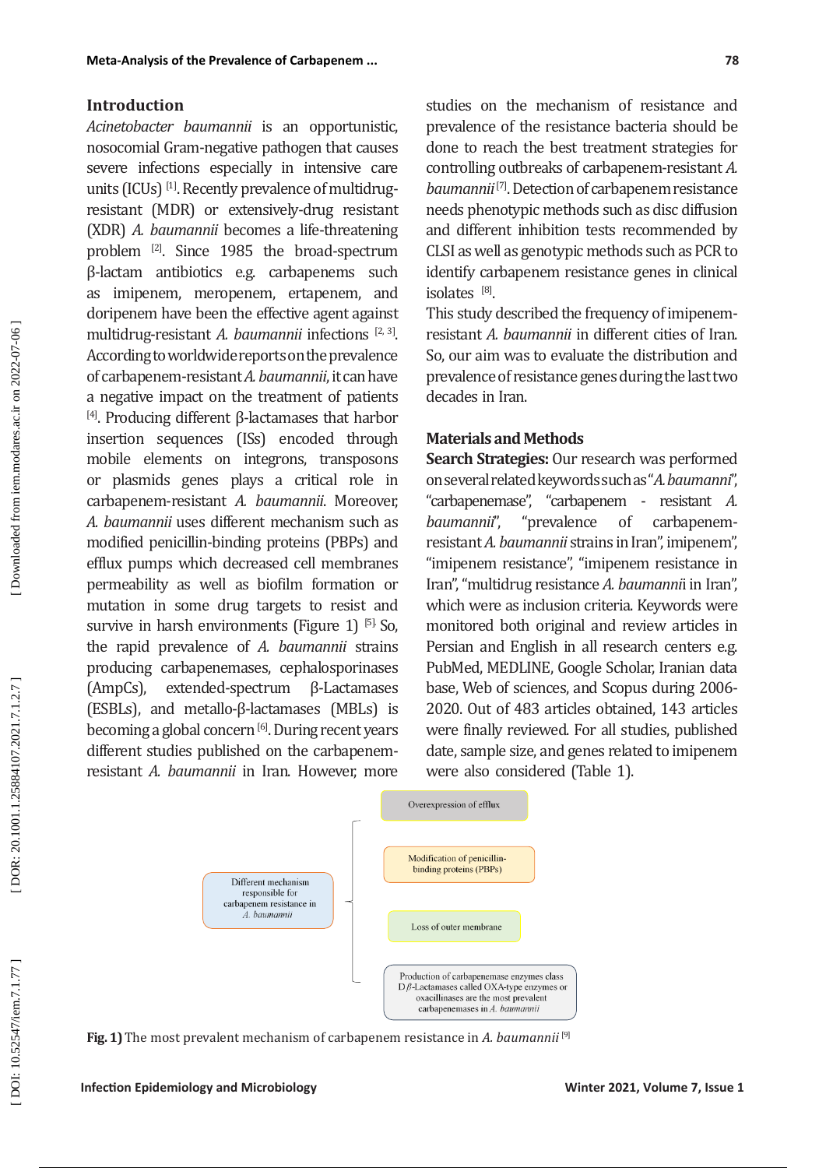## **Introduction**

*Acinetobacter baumannii* is an opportunistic, nosocomial Gram-negative pathogen that causes severe infections especially in intensive care units (ICUs) <sup>[1]</sup>. Recently prevalence of multidrugresistant (MDR) or extensively-drug resistant (XDR) *A. baumannii* becomes a life-threatening problem [2]. Since 1985 the broad-spectrum β-lactam antibiotics e.g. carbapenems such as imipenem, meropenem, ertapenem, and doripenem have been the effective agent against multidrug-resistant *A. baumannii* infections [2, 3]. According to worldwide reports on the prevalence of carbapenem-resistant *A. baumannii*, it can have a negative impact on the treatment of patients [4]. Producing different β-lactamases that harbor insertion sequences (ISs) encoded through mobile elements on integrons, transposons or plasmids genes plays a critical role in carbapenem-resistant *A. baumannii*. Moreover, *A. baumannii* uses different mechanism such as modified penicillin-binding proteins (PBPs) and efflux pumps which decreased cell membranes permeability as well as biofilm formation or mutation in some drug targets to resist and survive in harsh environments (Figure 1) [5] So, the rapid prevalence of *A. baumannii* strains producing carbapenemases, cephalosporinases (AmpCs), extended-spectrum β-Lactamases (ESBLs), and metallo-β-lactamases (MBLs) is becoming a global concern [6]. During recent years different studies published on the carbapenemresistant *A. baumannii* in Iran. However, more studies on the mechanism of resistance and prevalence of the resistance bacteria should be done to reach the best treatment strategies for controlling outbreaks of carbapenem-resistant *A. baumannii* [7]. Detection of carbapenem resistance needs phenotypic methods such as disc diffusion and different inhibition tests recommended by CLSI as well as genotypic methods such as PCR to identify carbapenem resistance genes in clinical

 $isolates$ <sup>[8]</sup>. This study described the frequency of imipenemresistant *A. baumannii* in different cities of Iran. So, our aim was to evaluate the distribution and prevalence of resistance genes during the last two decades in Iran.

# **Materials and Methods**

**Search Strategies:** Our research was performed on several related keywords such as "*A. baumanni*", "carbapenemase", "carbapenem - resistant *A.*  "prevalence of carbapenemresistant *A. baumannii* strains in Iran", imipenem", "imipenem resistance", "imipenem resistance in Iran", "multidrug resistance *A. baumanni*i in Iran", which were as inclusion criteria. Keywords were monitored both original and review articles in Persian and English in all research centers e.g. PubMed, MEDLINE, Google Scholar, Iranian data base, Web of sciences, and Scopus during 2006- 2020. Out of 483 articles obtained, 143 articles were finally reviewed. For all studies, published date, sample size, and genes related to imipenem were also considered (Table 1).



**Fig. 1)**The most prevalent mechanism of carbapenem resistance in *A. baumannii* [9]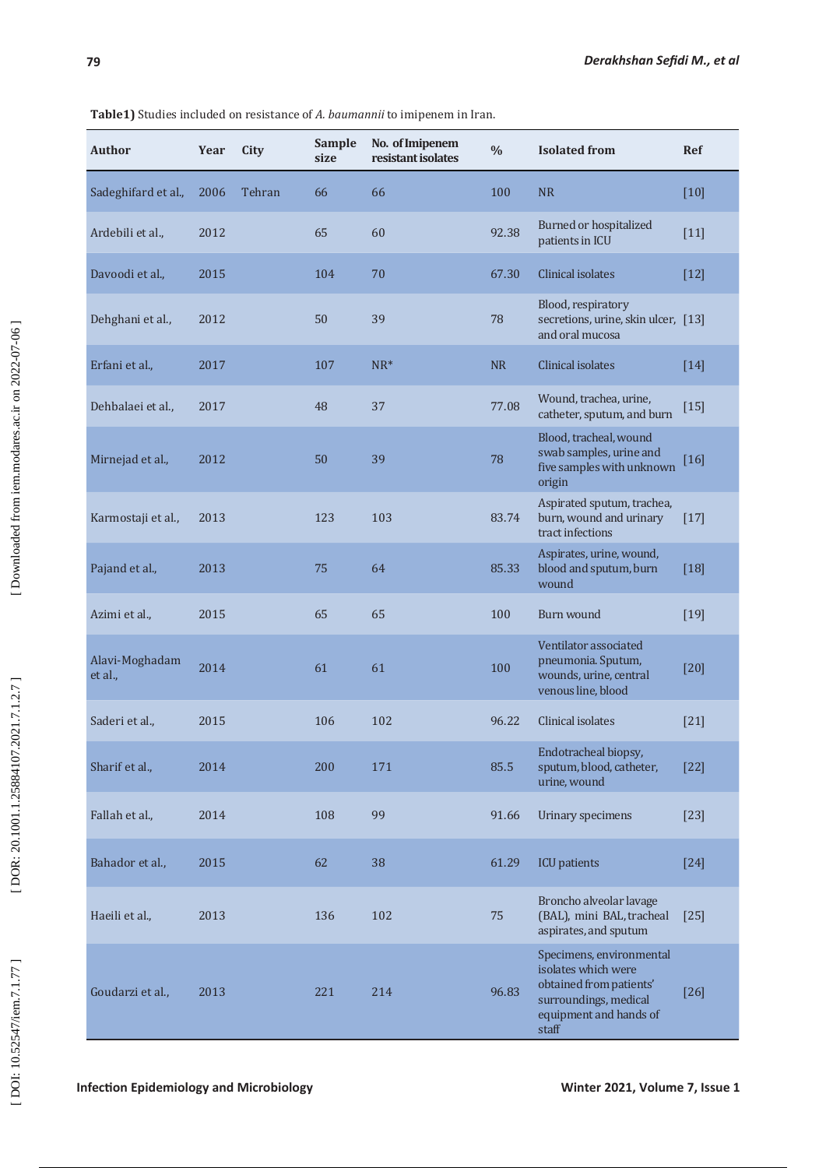| <b>Author</b>             | Year | City   | <b>Sample</b><br>size | No. of Imipenem<br>resistant isolates | $\frac{0}{0}$ | <b>Isolated from</b>                                                                                                                   | Ref    |
|---------------------------|------|--------|-----------------------|---------------------------------------|---------------|----------------------------------------------------------------------------------------------------------------------------------------|--------|
| Sadeghifard et al.,       | 2006 | Tehran | 66                    | 66                                    | 100           | <b>NR</b>                                                                                                                              | $[10]$ |
| Ardebili et al.,          | 2012 |        | 65                    | 60                                    | 92.38         | <b>Burned or hospitalized</b><br>patients in ICU                                                                                       | $[11]$ |
| Davoodi et al.,           | 2015 |        | 104                   | 70                                    | 67.30         | <b>Clinical isolates</b>                                                                                                               | $[12]$ |
| Dehghani et al.,          | 2012 |        | 50                    | 39                                    | 78            | Blood, respiratory<br>secretions, urine, skin ulcer, [13]<br>and oral mucosa                                                           |        |
| Erfani et al.,            | 2017 |        | 107                   | $NR^*$                                | <b>NR</b>     | <b>Clinical isolates</b>                                                                                                               | $[14]$ |
| Dehbalaei et al.,         | 2017 |        | 48                    | 37                                    | 77.08         | Wound, trachea, urine,<br>catheter, sputum, and burn                                                                                   | $[15]$ |
| Mirnejad et al.,          | 2012 |        | 50                    | 39                                    | 78            | Blood, tracheal, wound<br>swab samples, urine and<br>five samples with unknown<br>origin                                               | $[16]$ |
| Karmostaji et al.,        | 2013 |        | 123                   | 103                                   | 83.74         | Aspirated sputum, trachea,<br>burn, wound and urinary<br>tract infections                                                              | $[17]$ |
| Pajand et al.,            | 2013 |        | 75                    | 64                                    | 85.33         | Aspirates, urine, wound,<br>blood and sputum, burn<br>wound                                                                            | $[18]$ |
| Azimi et al.,             | 2015 |        | 65                    | 65                                    | 100           | Burn wound                                                                                                                             | $[19]$ |
| Alavi-Moghadam<br>et al., | 2014 |        | 61                    | 61                                    | 100           | Ventilator associated<br>pneumonia. Sputum,<br>wounds, urine, central<br>venous line, blood                                            | $[20]$ |
| Saderi et al.,            | 2015 |        | 106                   | 102                                   | 96.22         | Clinical isolates                                                                                                                      | $[21]$ |
| Sharif et al.,            | 2014 |        | 200                   | 171                                   | 85.5          | Endotracheal biopsy,<br>sputum, blood, catheter,<br>urine, wound                                                                       | $[22]$ |
| Fallah et al.,            | 2014 |        | 108                   | 99                                    | 91.66         | Urinary specimens                                                                                                                      | $[23]$ |
| Bahador et al.,           | 2015 |        | 62                    | 38                                    | 61.29         | <b>ICU</b> patients                                                                                                                    | $[24]$ |
| Haeili et al.,            | 2013 |        | 136                   | 102                                   | 75            | Broncho alveolar lavage<br>(BAL), mini BAL, tracheal<br>aspirates, and sputum                                                          | $[25]$ |
| Goudarzi et al.,          | 2013 |        | 221                   | 214                                   | 96.83         | Specimens, environmental<br>isolates which were<br>obtained from patients'<br>surroundings, medical<br>equipment and hands of<br>staff | $[26]$ |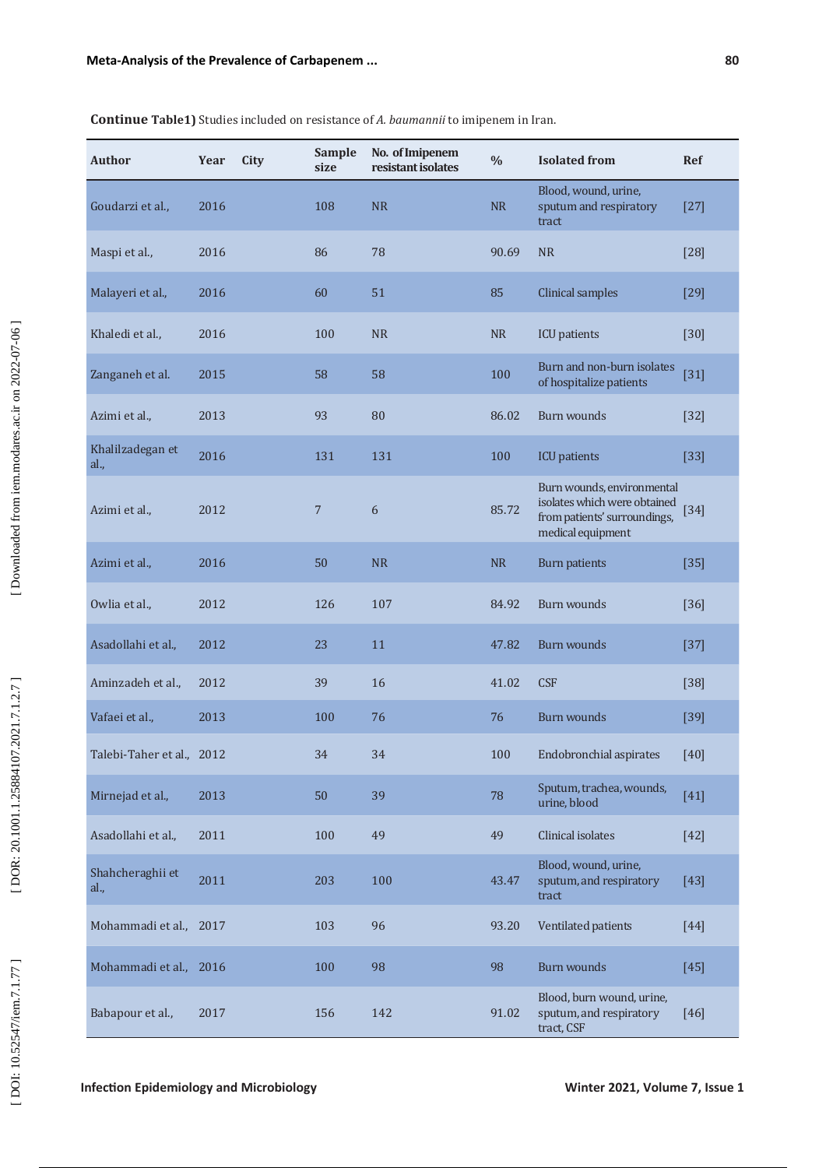| <b>Author</b>             | Year | City | Sample<br>size | No. of Imipenem<br>resistant isolates | $\frac{0}{0}$ | <b>Isolated from</b>                                                                                            | <b>Ref</b> |
|---------------------------|------|------|----------------|---------------------------------------|---------------|-----------------------------------------------------------------------------------------------------------------|------------|
| Goudarzi et al.,          | 2016 |      | 108            | <b>NR</b>                             | NR            | Blood, wound, urine,<br>sputum and respiratory<br>tract                                                         | $[27]$     |
| Maspi et al.,             | 2016 |      | 86             | 78                                    | 90.69         | <b>NR</b>                                                                                                       | $[28]$     |
| Malayeri et al.,          | 2016 |      | 60             | 51                                    | 85            | Clinical samples                                                                                                | $[29]$     |
| Khaledi et al.,           | 2016 |      | 100            | <b>NR</b>                             | <b>NR</b>     | <b>ICU</b> patients                                                                                             | $[30]$     |
| Zanganeh et al.           | 2015 |      | 58             | 58                                    | 100           | Burn and non-burn isolates<br>of hospitalize patients                                                           | $[31]$     |
| Azimi et al.,             | 2013 |      | 93             | 80                                    | 86.02         | <b>Burn wounds</b>                                                                                              | $[32]$     |
| Khalilzadegan et<br>al.,  | 2016 |      | 131            | 131                                   | 100           | <b>ICU</b> patients                                                                                             | $[33]$     |
| Azimi et al.,             | 2012 |      | $\overline{7}$ | 6                                     | 85.72         | Burn wounds, environmental<br>isolates which were obtained<br>from patients' surroundings,<br>medical equipment | $[34]$     |
| Azimi et al.,             | 2016 |      | 50             | <b>NR</b>                             | <b>NR</b>     | <b>Burn patients</b>                                                                                            | $[35]$     |
| Owlia et al.,             | 2012 |      | 126            | 107                                   | 84.92         | Burn wounds                                                                                                     | $[36]$     |
| Asadollahi et al.,        | 2012 |      | 23             | 11                                    | 47.82         | <b>Burn wounds</b>                                                                                              | $[37]$     |
| Aminzadeh et al.,         | 2012 |      | 39             | 16                                    | 41.02         | <b>CSF</b>                                                                                                      | $[38]$     |
| Vafaei et al.,            | 2013 |      | 100            | 76                                    | 76            | Burn wounds                                                                                                     | $[39]$     |
| Talebi-Taher et al., 2012 |      |      | 34             | 34                                    | 100           | Endobronchial aspirates                                                                                         | $[40]$     |
| Mirnejad et al.,          | 2013 |      | 50             | 39                                    | 78            | Sputum, trachea, wounds,<br>urine, blood                                                                        | $[41]$     |
| Asadollahi et al.,        | 2011 |      | 100            | 49                                    | 49            | Clinical isolates                                                                                               | $[42]$     |
| Shahcheraghii et<br>al.,  | 2011 |      | 203            | 100                                   | 43.47         | Blood, wound, urine,<br>sputum, and respiratory<br>tract                                                        | $[43]$     |
| Mohammadi et al.,         | 2017 |      | 103            | 96                                    | 93.20         | Ventilated patients                                                                                             | $[44]$     |
| Mohammadi et al., 2016    |      |      | 100            | 98                                    | 98            | <b>Burn wounds</b>                                                                                              | $[45]$     |
| Babapour et al.,          | 2017 |      | 156            | 142                                   | 91.02         | Blood, burn wound, urine,<br>sputum, and respiratory<br>tract, CSF                                              | $[46]$     |

**Continue Table1)** Studies included on resistance of *A. baumannii* to imipenem in Iran.

**Infection Epidemiology and Microbiology** <br> **Infection Epidemiology and Microbiology** *Winter 2021, Volume 7, Issue 1*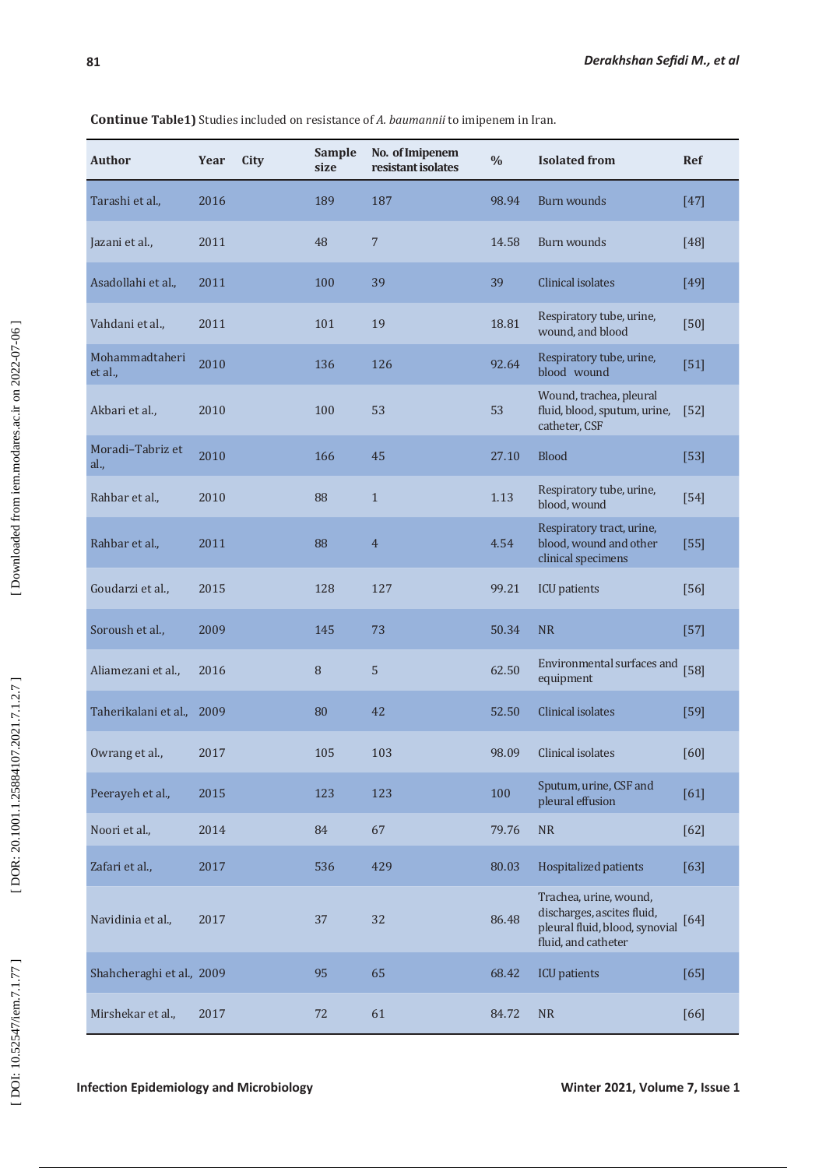**Author Year City Sample size No. of Imipenem resistant isolates % Isolated from Ref** Tarashi et al.,  $2016$  189 187 98.94 Burn wounds [47] Jazani et al., 2011 48 7 14.58 Burn wounds [48] Asadollahi et al., 2011 100 39 39 Clinical isolates [49] Vahdani et al., 2011 101 19 19 18.81 Respiratory tube, urine,  $\frac{18.81 \text{ Respiratory tube, urine}}{\text{wound and blood}}$ Respiratory tube, urine,<br>wound, and blood [50] Mohammadtaheri<br>et al., Mohammadtaheri 2010 136 126 92.64 Respiratory tube, urine,<br>et al., blood wound Respiratory tube, urine, [51]<br>blood wound Akbari et al., 2010 100 53 53 Wound, trachea, pleural fluid, blood, sputum, urine, [52] catheter, CSF Moradi–Tabriz et al., 2010 166 45 27.10 Blood [53] Rahbar et al., 2010 88 1 1.13 Respiratory tube, urine, kespiratory tube, urine,<br>blood, wound [54] Rahbar et al., 2011 88 4 4.54 Respiratory tract, urine, blood, wound and other clinical specimens [55] Goudarzi et al., 2015 128 127 99.21 ICU patients [56] Soroush et al.,  $2009$  145 73 50.34 NR [57] Aliamezani et al., 2016 8 <sup>5</sup> 62.50 Environmental surfaces and environmental surfaces and [58]<br>equipment Taherikalani et al., 2009 80 42 52.50 Clinical isolates [59] Owrang et al., 2017 105 103 98.09 Clinical isolates [60] Peerayeh et al., 2015 123 123 123 100 Sputum, urine, CSF and peerayeh et al., 2015 Sputum, urine, CSF and<br>pleural effusion [61] Noori et al.,  $2014$  84 67 79.76 NR [62] Zafari et al.,  $2017$  536 429 80.03 Hospitalized patients [63] Navidinia et al., 2017 37 32 86.48 Trachea, urine, wound, discharges, ascites fluid, pleural fluid, blood, synovial [64] fluid, and catheter Shahcheraghi et al., 2009 95 65 68.42 ICU patients [65] Mirshekar et al., 2017 12 61 84.72 NR [66]

**Continue Table1)** Studies included on resistance of *A. baumannii* to imipenem in Iran.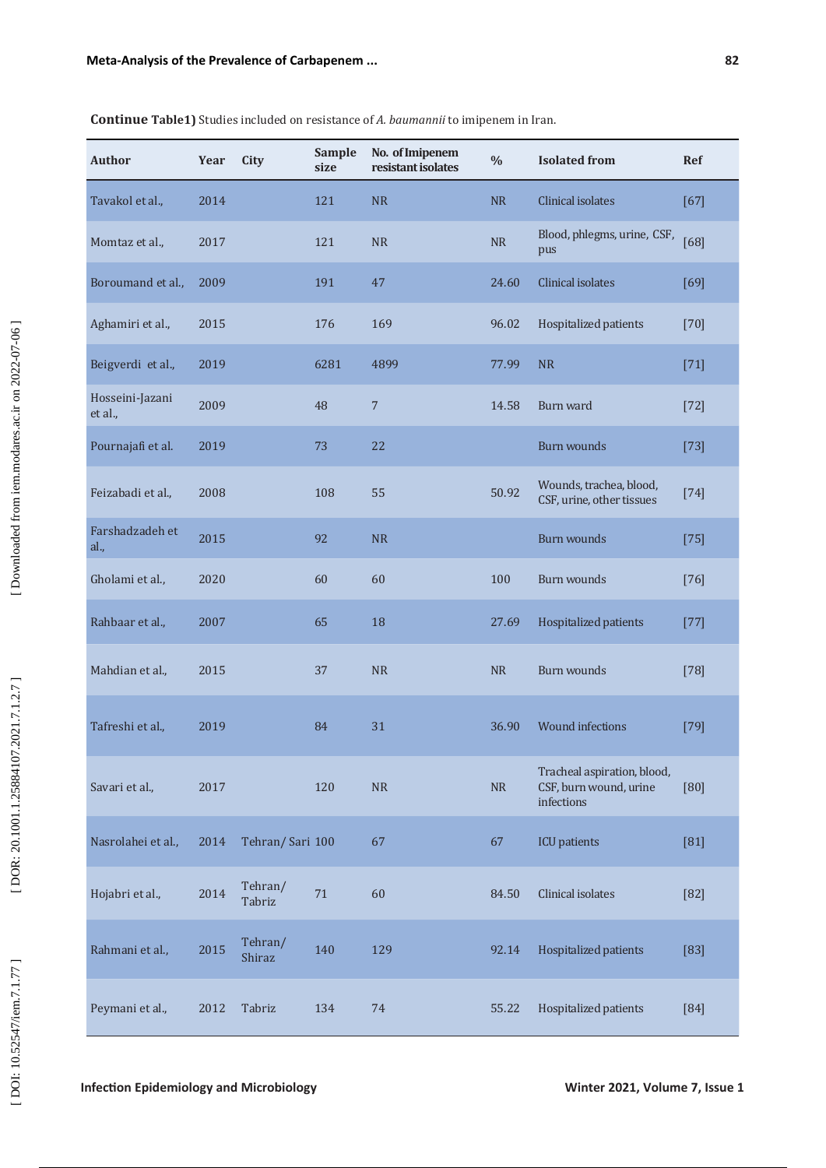| <b>Author</b>              | Year | City              | Sample<br>size | No. of Imipenem<br>resistant isolates | $\frac{0}{0}$ | <b>Isolated</b> from                                                | <b>Ref</b> |
|----------------------------|------|-------------------|----------------|---------------------------------------|---------------|---------------------------------------------------------------------|------------|
| Tavakol et al.,            | 2014 |                   | 121            | <b>NR</b>                             | <b>NR</b>     | <b>Clinical isolates</b>                                            | $[67]$     |
| Momtaz et al.,             | 2017 |                   | 121            | <b>NR</b>                             | <b>NR</b>     | Blood, phlegms, urine, CSF,<br>pus                                  | [68]       |
| Boroumand et al.,          | 2009 |                   | 191            | 47                                    | 24.60         | Clinical isolates                                                   | [69]       |
| Aghamiri et al.,           | 2015 |                   | 176            | 169                                   | 96.02         | Hospitalized patients                                               | $[70]$     |
| Beigverdi et al.,          | 2019 |                   | 6281           | 4899                                  | 77.99         | <b>NR</b>                                                           | $[71]$     |
| Hosseini-Jazani<br>et al., | 2009 |                   | 48             | $\overline{7}$                        | 14.58         | Burn ward                                                           | $[72]$     |
| Pournajafi et al.          | 2019 |                   | 73             | 22                                    |               | Burn wounds                                                         | $[73]$     |
| Feizabadi et al.,          | 2008 |                   | 108            | 55                                    | 50.92         | Wounds, trachea, blood,<br>CSF, urine, other tissues                | $[74]$     |
| Farshadzadeh et<br>al.,    | 2015 |                   | 92             | <b>NR</b>                             |               | <b>Burn wounds</b>                                                  | $[75]$     |
| Gholami et al.,            | 2020 |                   | 60             | 60                                    | 100           | <b>Burn wounds</b>                                                  | $[76]$     |
| Rahbaar et al.,            | 2007 |                   | 65             | 18                                    | 27.69         | Hospitalized patients                                               | $[77]$     |
| Mahdian et al.,            | 2015 |                   | 37             | <b>NR</b>                             | <b>NR</b>     | <b>Burn wounds</b>                                                  | $[78]$     |
| Tafreshi et al.,           | 2019 |                   | 84             | 31                                    | 36.90         | <b>Wound infections</b>                                             | $[79]$     |
| Savari et al.,             | 2017 |                   | 120            | ${\sf NR}$                            | ${\sf NR}$    | Tracheal aspiration, blood,<br>CSF, burn wound, urine<br>infections | [80]       |
| Nasrolahei et al.,         | 2014 | Tehran/ Sari 100  |                | 67                                    | 67            | <b>ICU</b> patients                                                 | $[81]$     |
| Hojabri et al.,            | 2014 | Tehran/<br>Tabriz | 71             | 60                                    | 84.50         | Clinical isolates                                                   | $[82]$     |
| Rahmani et al.,            | 2015 | Tehran/<br>Shiraz | 140            | 129                                   | 92.14         | Hospitalized patients                                               | [83]       |
| Peymani et al.,            | 2012 | Tabriz            | 134            | 74                                    | 55.22         | Hospitalized patients                                               | [84]       |

**Continue Table1)** Studies included on resistance of *A. baumannii* to imipenem in Iran.

**Infection Epidemiology and Microbiology** <br> **Infection Epidemiology and Microbiology** *Winter 2021, Volume 7, Issue 1*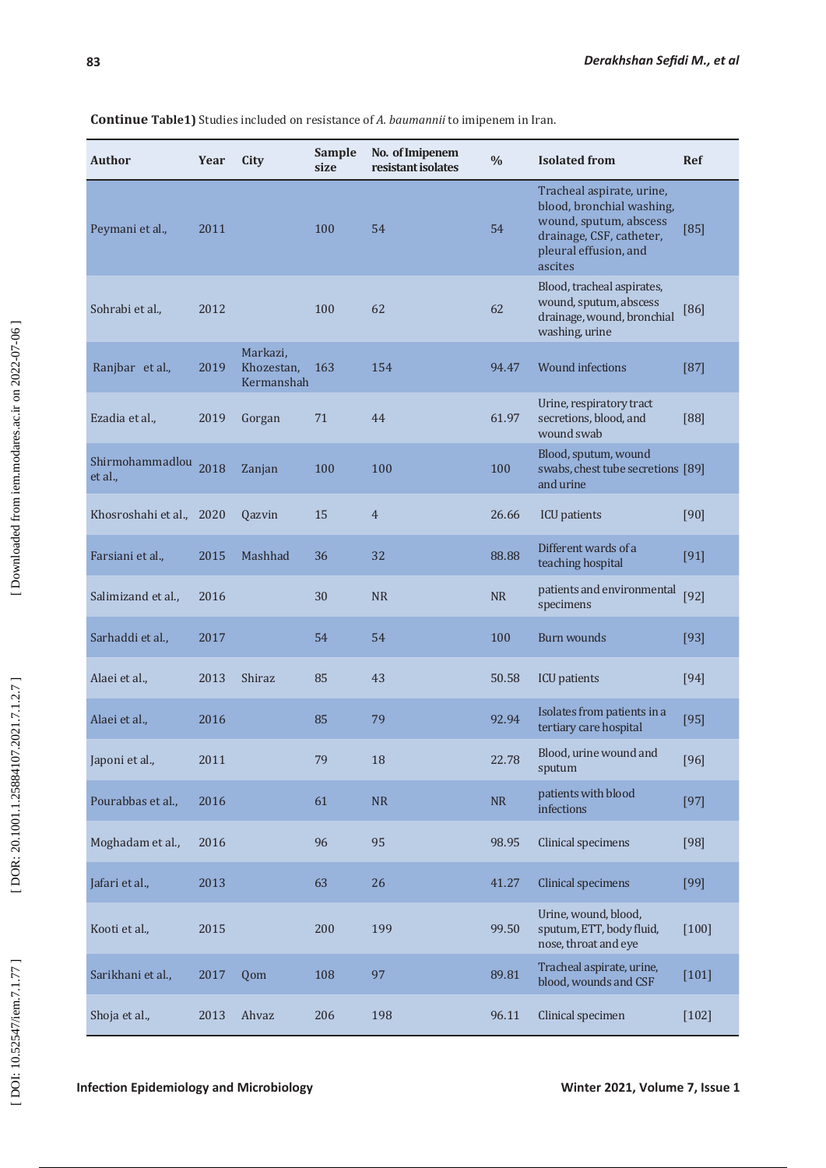### **Author Year City Sample size No. of Imipenem resistant isolates % Isolated from Ref** Peymani et al., 2011 100 54 54 Tracheal aspirate, urine, blood, bronchial washing, wound, sputum, abscess drainage, CSF, catheter, pleural effusion, and ascites [85] Sohrabi et al., 2012 100 62 62 Blood, tracheal aspirates, wound, sputum, abscess drainage, wound, bronchial washing, urine [86] Ranjbar et al., 2019 Markazi, Khozestan, Kermanshah 163 154 94.47 Wound infections [87] Ezadia et al., 2019 Gorgan 71 44 61.97 Urine, respiratory tract secretions, blood, and wound swab [88] Shirmohammadlou 2018 Zanjan 100 100 100 100 100 Blood, sputum, wound swabs, chest tube secretions [89] and urine Khosroshahi et al., 2020 Qazvin 15 4 26.66 ICU patients [90] Farsiani et al., 2015 Mashhad 36 32 88.88 Different wards of a Different wards of a [91]<br>teaching hospital [91] Salimizand et al., 2016 30 NR R Patients and environmental patients and environmental [92]<br>specimens Sarhaddi et al.,  $2017$  54 54 100 Burn wounds [93] Alaei et al., 2013 Shiraz 85 43 50.58 ICU patients [94] Alaei et al., 2016 2016 85 79 92.94 Isolates from patients in a series of the state of the state of the state o<br>Persian and the state of the state of the state of the state of the state of the state of the state of the sta Isolates from patients in a [95]<br>tertiary care hospital Japoni et al., 2011  $\begin{array}{ccc} 79 & 18 & 22.78 & \text{Blood, urine wound and} \end{array}$ Blood, urine wound and [96] Pourabbas et al., 2016 61 NR R patients with blood patients with blood<br>infections [97] Moghadam et al., 2016 96 95 98.95 Clinical specimens [98] Jafari et al., 2013 63 26 41.27 Clinical specimens [99] Kooti et al., 2015 200 199 99.50 Urine, wound, blood, sputum, ETT, body fluid, nose, throat and eye [100] Sarikhani et al., at 2017 Qom 108 97 89.81 Tracheal aspirate, urine,  $\begin{bmatrix} 101 \end{bmatrix}$ Shoja et al., 2013 Ahvaz 206 198 96.11 Clinical specimen [102]

**Continue Table1)** Studies included on resistance of *A. baumannii* to imipenem in Iran.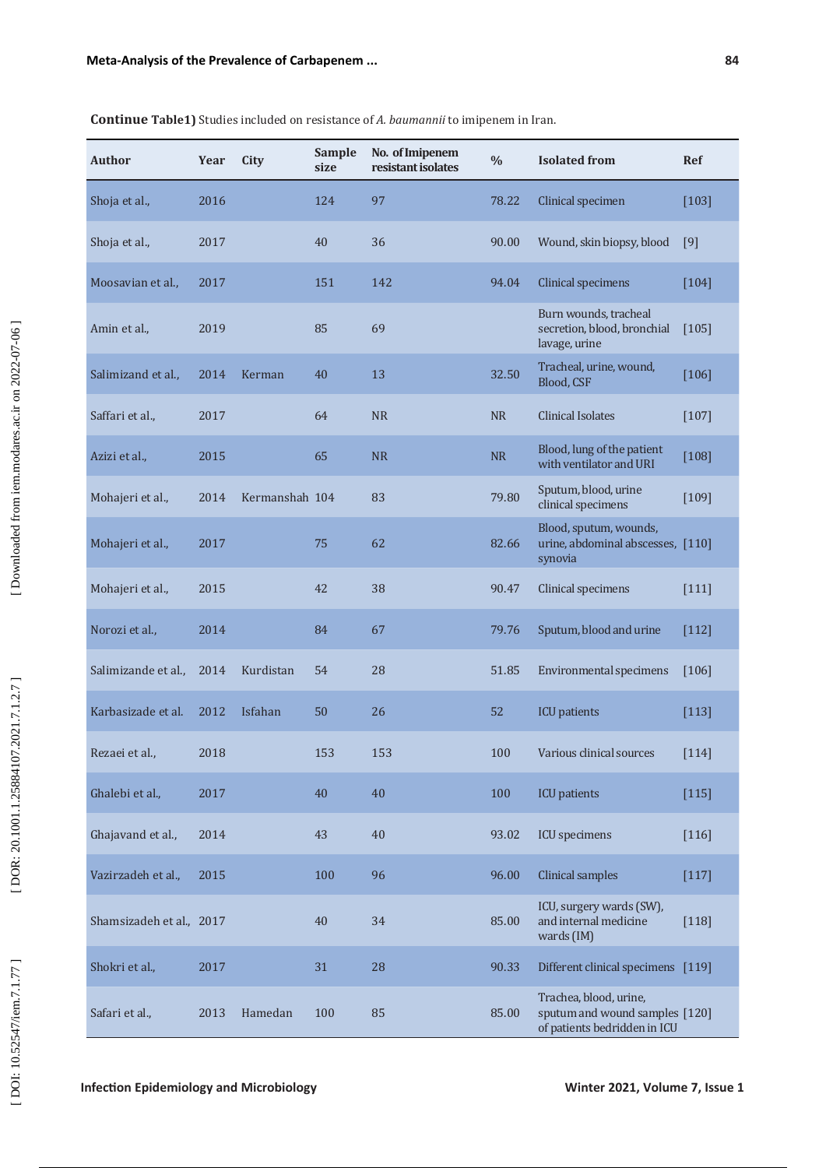| <b>Author</b>            | Year | City           | <b>Sample</b><br>size | No. of Imipenem<br>resistant isolates | $\frac{0}{0}$ | <b>Isolated</b> from                                                                     | <b>Ref</b> |
|--------------------------|------|----------------|-----------------------|---------------------------------------|---------------|------------------------------------------------------------------------------------------|------------|
| Shoja et al.,            | 2016 |                | 124                   | 97                                    | 78.22         | Clinical specimen                                                                        | $[103]$    |
| Shoja et al.,            | 2017 |                | 40                    | 36                                    | 90.00         | Wound, skin biopsy, blood                                                                | [9]        |
| Moosavian et al.,        | 2017 |                | 151                   | 142                                   | 94.04         | <b>Clinical specimens</b>                                                                | $[104]$    |
| Amin et al.,             | 2019 |                | 85                    | 69                                    |               | Burn wounds, tracheal<br>secretion, blood, bronchial<br>lavage, urine                    | $[105]$    |
| Salimizand et al.,       | 2014 | Kerman         | 40                    | 13                                    | 32.50         | Tracheal, urine, wound,<br>Blood, CSF                                                    | $[106]$    |
| Saffari et al.,          | 2017 |                | 64                    | <b>NR</b>                             | <b>NR</b>     | <b>Clinical Isolates</b>                                                                 | $[107]$    |
| Azizi et al.,            | 2015 |                | 65                    | <b>NR</b>                             | <b>NR</b>     | Blood, lung of the patient<br>with ventilator and URI                                    | $[108]$    |
| Mohajeri et al.,         | 2014 | Kermanshah 104 |                       | 83                                    | 79.80         | Sputum, blood, urine<br>clinical specimens                                               | $[109]$    |
| Mohajeri et al.,         | 2017 |                | 75                    | 62                                    | 82.66         | Blood, sputum, wounds,<br>urine, abdominal abscesses, [110]<br>synovia                   |            |
| Mohajeri et al.,         | 2015 |                | 42                    | 38                                    | 90.47         | Clinical specimens                                                                       | [111]      |
| Norozi et al.,           | 2014 |                | 84                    | 67                                    | 79.76         | Sputum, blood and urine                                                                  | $[112]$    |
| Salimizande et al.,      | 2014 | Kurdistan      | 54                    | 28                                    | 51.85         | Environmental specimens                                                                  | $[106]$    |
| Karbasizade et al.       | 2012 | Isfahan        | 50                    | 26                                    | 52            | <b>ICU</b> patients                                                                      | [113]      |
| Rezaei et al.,           | 2018 |                | 153                   | 153                                   | 100           | Various clinical sources                                                                 | $[114]$    |
| Ghalebi et al.,          | 2017 |                | 40                    | 40                                    | 100           | <b>ICU</b> patients                                                                      | $[115]$    |
| Ghajavand et al.,        | 2014 |                | 43                    | 40                                    | 93.02         | <b>ICU</b> specimens                                                                     | $[116]$    |
| Vazirzadeh et al.,       | 2015 |                | 100                   | 96                                    | 96.00         | Clinical samples                                                                         | $[117]$    |
| Shamsizadeh et al., 2017 |      |                | 40                    | 34                                    | 85.00         | ICU, surgery wards (SW),<br>and internal medicine<br>wards (IM)                          | $[118]$    |
| Shokri et al.,           | 2017 |                | 31                    | 28                                    | 90.33         | Different clinical specimens [119]                                                       |            |
| Safari et al.,           | 2013 | Hamedan        | 100                   | 85                                    | 85.00         | Trachea, blood, urine,<br>sputum and wound samples [120]<br>of patients bedridden in ICU |            |

### **Continue Table1)** Studies included on resistance of *A. baumannii* to imipenem in Iran.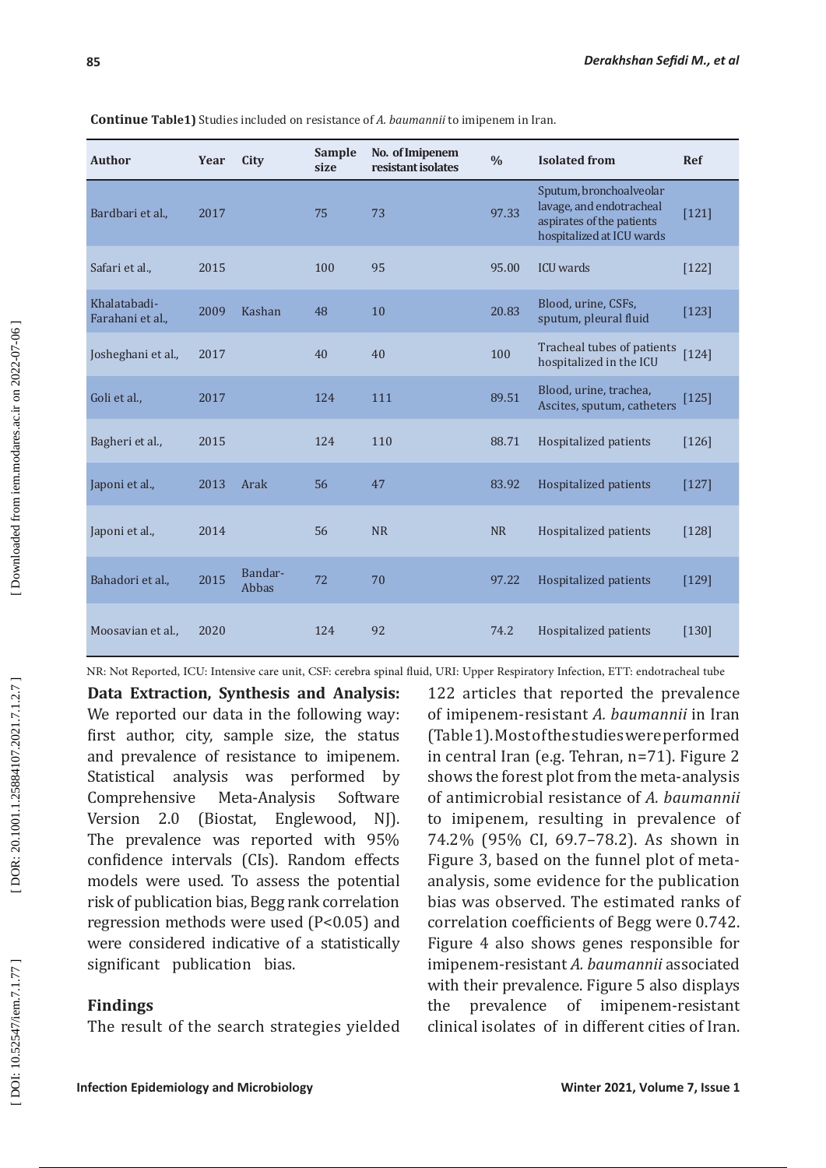| <b>Author</b>                    | Year | City             | <b>Sample</b><br>size | No. of Imipenem<br>resistant isolates | $\frac{0}{0}$ | <b>Isolated from</b>                                                                                          | <b>Ref</b> |
|----------------------------------|------|------------------|-----------------------|---------------------------------------|---------------|---------------------------------------------------------------------------------------------------------------|------------|
| Bardbari et al.,                 | 2017 |                  | 75                    | 73                                    | 97.33         | Sputum, bronchoalveolar<br>lavage, and endotracheal<br>aspirates of the patients<br>hospitalized at ICU wards | $[121]$    |
| Safari et al.,                   | 2015 |                  | 100                   | 95                                    | 95.00         | <b>ICU</b> wards                                                                                              | $[122]$    |
| Khalatabadi-<br>Farahani et al., | 2009 | Kashan           | 48                    | 10                                    | 20.83         | Blood, urine, CSFs,<br>sputum, pleural fluid                                                                  | $[123]$    |
| Josheghani et al.,               | 2017 |                  | 40                    | 40                                    | 100           | Tracheal tubes of patients<br>hospitalized in the ICU                                                         | $[124]$    |
| Goli et al.,                     | 2017 |                  | 124                   | 111                                   | 89.51         | Blood, urine, trachea,<br>Ascites, sputum, catheters                                                          | $[125]$    |
| Bagheri et al.,                  | 2015 |                  | 124                   | 110                                   | 88.71         | Hospitalized patients                                                                                         | $[126]$    |
| Japoni et al.,                   | 2013 | Arak             | 56                    | 47                                    | 83.92         | Hospitalized patients                                                                                         | $[127]$    |
| Japoni et al.,                   | 2014 |                  | 56                    | <b>NR</b>                             | <b>NR</b>     | Hospitalized patients                                                                                         | $[128]$    |
| Bahadori et al.,                 | 2015 | Bandar-<br>Abbas | 72                    | 70                                    | 97.22         | Hospitalized patients                                                                                         | [129]      |
| Moosavian et al.,                | 2020 |                  | 124                   | 92                                    | 74.2          | Hospitalized patients                                                                                         | $[130]$    |

**Continue Table1)** Studies included on resistance of *A. baumannii* to imipenem in Iran.

NR: Not Reported, ICU: Intensive care unit, CSF: cerebra spinal fluid, URI: Upper Respiratory Infection, ETT: endotracheal tube

**Data Extraction, Synthesis and Analysis:**  We reported our data in the following way: first author, city, sample size, the status and prevalence of resistance to imipenem. Statistical analysis was performed by<br>Comprehensive Meta-Analysis Software ensive Meta-Analysis<br>2.0 (Biostat, Engley Version 2.0 (Biostat, Englewood, NJ). The prevalence was reported with 95% confidence intervals (CIs). Random effects models were used. To assess the potential risk of publication bias, Begg rank correlation regression methods were used (P<0.05) and were considered indicative of a statistically significant publication bias.

### **Findings**

The result of the search strategies yielded

122 articles that reported the prevalence of imipenem-resistant *A. baumannii* in Iran (Table 1). Most of the studies were performed in central Iran (e.g. Tehran, n=71). Figure 2 shows the forest plot from the meta-analysis of antimicrobial resistance of *A. baumannii*  to imipenem, resulting in prevalence of 74.2% (95% CI, 69.7–78.2). As shown in Figure 3, based on the funnel plot of metaanalysis, some evidence for the publication bias was observed. The estimated ranks of correlation coefficients of Begg were 0.742. Figure 4 also shows genes responsible for imipenem-resistant *A. baumannii* associated with their prevalence. Figure 5 also displays the prevalence of imipenem-resistant clinical isolates of in different cities of Iran.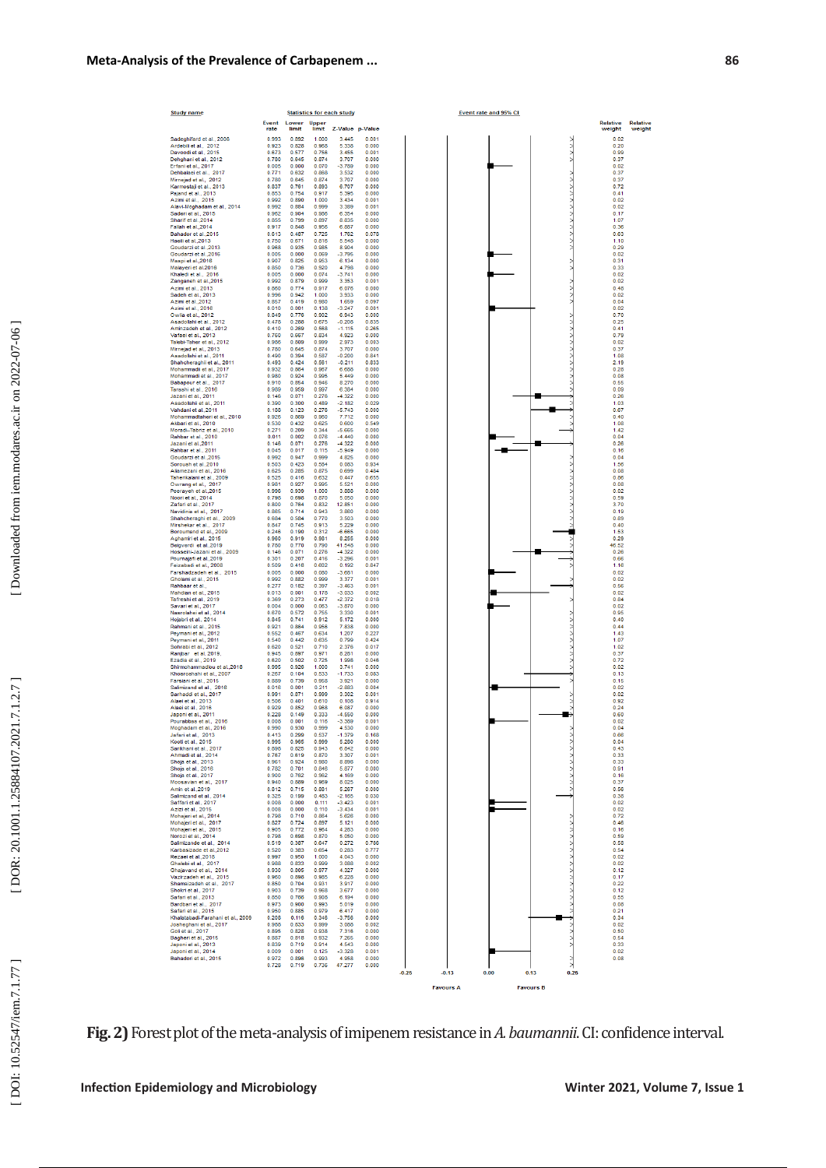| <b>Study name</b>                                            |                |                |                | <b>Statistics for each study</b> |                | Event rate and 95% CI                                |                    |                           |
|--------------------------------------------------------------|----------------|----------------|----------------|----------------------------------|----------------|------------------------------------------------------|--------------------|---------------------------|
|                                                              | Event<br>rate  | Lower<br>limit | Upper<br>limit | <b>Z-Value</b> p-Value           |                |                                                      | Relative<br>weight | <b>Relative</b><br>weight |
| Sadeghifard et al., 2006                                     | 0.993          | 0.892          | 1,000          | 3.445                            | 0.001          |                                                      | 0.02               |                           |
| Ardebili et al., 2012<br>Davoodi et al., 2015                | 0.923<br>0.673 | 0.828<br>0.577 | 0.968<br>0.756 | 5.338<br>3.455                   | 0.000<br>0.001 |                                                      | 0.20<br>0.99       |                           |
| Dehghani et al., 2012<br>Erfani et al., 2017                 | 0.780<br>0.005 | 0.645<br>0.000 | 0.874<br>0.070 | 3.707<br>$-3.789$                | 0.000<br>0.000 |                                                      | 0.37<br>0.02       |                           |
| Dehbalaei et al., 2017<br>Mirnejad et al., 2012              | 0.771<br>0.780 | 0.632<br>0.645 | 0.868<br>0.874 | 3.532<br>3.707                   | 0.000<br>0.000 |                                                      | 0.37<br>0.37       |                           |
| Karmostaii et al., 2013                                      | 0.837          | 0.761          | 0.893          | 6.707                            | 0.000          |                                                      | 0.72               |                           |
| Paiand et al., 2013<br>Azimi et al., 2015                    | 0.853<br>0.992 | 0.754<br>0.890 | 0.917<br>1.000 | 5.395<br>3.434                   | 0.000<br>0.001 |                                                      | 0.41<br>0.02       |                           |
| Alavi-Moghadam et al., 2014<br>Saderi et al., 2015           | 0.992<br>0.962 | 0.884<br>0.904 | 0.999<br>0.986 | 3.389<br>6.354                   | 0.001<br>0.000 |                                                      | 0.02<br>0.17       |                           |
| Sharif et al., 2014<br>Fallah et al., 2014                   | 0.855<br>0.917 | 0.799<br>0.848 | 0.897<br>0.956 | 8.835<br>6.887                   | 0.000<br>0.000 |                                                      | 1.07<br>0.36       |                           |
| Bahador et al., 2015                                         | 0.613          | 0.487<br>0.671 | 0.725<br>0.816 | 1.762<br>5.548                   | 0.078<br>0.000 |                                                      | 0.63               |                           |
| Haeili et al., 2013<br>Goudarzi et al. 2013                  | 0.750<br>0.968 | 0.935          | 0.985          | 8.904                            | 0.000          |                                                      | 1.10<br>0.29       |                           |
| Goudarzi et al.,2016<br>Maspi et al., 2016                   | 0.005<br>0.907 | 0.000<br>0.825 | 0.069<br>0.953 | $-3.795$<br>6.134                | 0.000<br>0.000 |                                                      | 0.02<br>0.31       |                           |
| Malaveri et al.2016<br>Khaledi et al., 2016                  | 0.850<br>0.005 | 0.736<br>0.000 | 0.920<br>0.074 | 4.798<br>$-3.741$                | 0.000<br>0.000 |                                                      | 0.33<br>0.02       |                           |
| Zanganeh et al., 2015<br>Azimi et al., 2013                  | 0.992<br>0.860 | 0.879<br>0.774 | 0.999<br>0.917 | 3.353<br>6.076                   | 0.001<br>0.000 |                                                      | 0.02<br>0.48       |                           |
| Sadeh et al., 2013                                           | 0.996          | 0.942          | 1.000          | 3.933                            | 0.000          |                                                      | 0.02               |                           |
| Azimi et al.,2012<br>Azimi et al., 2016                      | 0.857<br>0.010 | 0.419<br>0.001 | 0.980<br>0.138 | 1.659<br>$-3.247$                | 0.097<br>0.001 |                                                      | 0.04<br>0.02       |                           |
| Owlia et al., 2012<br>Asadollahi et al., 2012                | 0.849<br>0.478 | 0.776<br>0.288 | 0.902<br>0.675 | 6.943<br>$-0.208$                | 0.000<br>0.835 |                                                      | 0.70<br>0.25       |                           |
| Aminzadeh et al., 2012<br>Vafaei et al., 2013                | 0.410<br>0.760 | 0.269<br>0.667 | 0.568<br>0.834 | $-1.115$<br>4.923                | 0.265<br>0.000 |                                                      | 0.41<br>0.79       |                           |
| Talebi-Taher et al., 2012                                    | 0.986          | 0.809          | 0.999          | 2.973                            | 0.003          |                                                      | 0.02               |                           |
| Mirnejad et al., 2013<br>Asadollahi et al., 2011             | 0.780<br>0.490 | 0.645<br>0.394 | 0.874<br>0.587 | 3.707<br>$-0.200$                | 0.000<br>0.841 |                                                      | 0.37<br>1.08       |                           |
| Shahcheraghii et al., 2011<br>Mohammadii et al., 2017        | 0.493<br>0.932 | 0.424<br>0.864 | 0.561<br>0.967 | $-0.211$<br>6.688                | 0.833<br>0.000 |                                                      | 2.19<br>0.28       |                           |
| Mohammadi et al., 2017<br>Babapour et al., 2017              | 0.980<br>0.910 | 0.924<br>0.854 | 0.995<br>0.946 | 5.449<br>8.270                   | 0.000<br>0.000 |                                                      | 0.08<br>0.55       |                           |
| Tarashi et al., 2016<br>Jazani et al., 2011                  | 0.989          | 0.959          | 0.997          | 6.384                            | 0.000          |                                                      | 0.09               |                           |
| Asadollahii et al., 2011                                     | 0.146<br>0.390 | 0.071<br>0.300 | 0.276<br>0.489 | $-4.322$<br>$-2.182$             | 0.000<br>0.029 |                                                      | 0.26<br>1.03       |                           |
| Vahdani et al. 2011<br>Mohammadtaheri et al., 2010           | 0.188<br>0.926 | 0.123<br>0.869 | 0.276<br>0.960 | $-5.743$<br>7.712                | 0.000<br>0.000 |                                                      | 0.67<br>0.40       |                           |
| Akbari et al., 2010<br>Moradi-Tabriz et al., 2010            | 0.530<br>0.271 | 0.432<br>0.209 | 0.625<br>0.344 | 0.600<br>$-5.665$                | 0.549<br>0.000 |                                                      | 1.08<br>1.42       |                           |
| Rabbar et al., 2010                                          | 0.011          | 0.002          | 0.076<br>0.276 | $-4.440$<br>$-4322$              | 0.000          |                                                      | 0.04               |                           |
| Jazani et al., 2011<br>Rahbar et al., 2011                   | 0.146<br>0.045 | 0.071<br>0.017 | 0.115          | $-5.949$                         | 0.000<br>0.000 |                                                      | 0.26<br>0.16       |                           |
| Goudarzi et al., 2015<br>Soroush et al., 2010                | 0.992<br>0.503 | 0.947<br>0.423 | 0.999<br>0.584 | 4.825<br>0.083                   | 0.000<br>0.934 |                                                      | 0.04<br>1.56       |                           |
| Aliamezani et al., 2016<br>Taherikalani et al., 2009         | 0.625<br>0.525 | 0.285<br>0.416 | 0.875<br>0.632 | 0.699<br>0.447                   | 0.484<br>0.655 |                                                      | 0.08<br>0.86       |                           |
| Owrang et al., 2017                                          | 0.981<br>0.996 | 0.927<br>0.939 | 0.995<br>1.000 | 5.521<br>3.888                   | 0.000          |                                                      | 0.08               |                           |
| Peeraveh et al.,2015<br>Noori et al., 2014                   | 0.798          | 0.698          | 0.870          | 5.050                            | 0.000<br>0.000 |                                                      | 0.02<br>0.59       |                           |
| Zafari et al., 2017<br>Navidinia et al., 2017                | 0.800<br>0.865 | 0.764<br>0.714 | 0.832<br>0.943 | 12.851<br>3.860                  | 0.000<br>0.000 |                                                      | 3.70<br>0.19       |                           |
| Shahcheraghi et al., 2009<br>Mirshekar et al., 2017          | 0.684<br>0.847 | 0.584<br>0.745 | 0.770<br>0.913 | 3.503<br>5.229                   | 0.000<br>0.000 |                                                      | 0.89<br>0.40       |                           |
| Boroumand et al., 2009<br>Aghamiri et al., 2015              | 0.246<br>0.960 | 0.190<br>0.919 | 0.312<br>0.981 | $-6.665$<br>8.255                | 0.000<br>0.000 |                                                      | 1.53<br>0.29       |                           |
| Beigverdi et al., 2019                                       | 0.780          | 0.770          | 0.790          | 41.548                           | 0.000          |                                                      | 46.52              |                           |
| Hosseini-Jazani et al., 2009<br>Pournajafi et al., 2019      | 0.146<br>0.301 | 0.071<br>0.207 | 0.276<br>0.416 | $-4.322$<br>$-3.296$             | 0.000<br>0.001 |                                                      | 0.26<br>0.66       |                           |
| Feizabadi et al., 2008<br>Farshadzadeh et al., 2015          | 0.509<br>0.005 | 0.416<br>0.000 | 0.602<br>0.080 | 0.192<br>$-3.681$                | 0.847<br>0.000 |                                                      | 1.16<br>0.02       |                           |
| Gholami et al., 2015<br>Rahbaar et al.,                      | 0.992<br>0.277 | 0.882<br>0.182 | 0.999<br>0.397 | 3.377<br>$-3.463$                | 0.001<br>0.001 |                                                      | 0.02<br>0.56       |                           |
| Mahdian et al., 2015                                         | 0.013          | 0.001          | 0.178          | $-3.033$                         | 0.002          |                                                      | 0.02               |                           |
| Tafreshi et al., 2019<br>Savari et al., 2017                 | 0.369<br>0.004 | 0.273<br>0.000 | 0.477<br>0.063 | $-2.372$<br>$-3.870$             | 0.018<br>0.000 |                                                      | 0.84<br>0.02       |                           |
| Nasrolahei et al., 2014<br>Hojabri et al., 2014              | 0.670<br>0.845 | 0.572<br>0.741 | 0.755<br>0.912 | 3.330<br>5.172                   | 0.001<br>0.000 |                                                      | 0.95<br>0.40       |                           |
| Rahmani et al., 2015<br>Peymani et al., 2012                 | 0.921<br>0.552 | 0.864<br>0.467 | 0.956<br>0.634 | 7.838<br>1.207                   | 0.000<br>0.227 |                                                      | 0.44<br>1.43       |                           |
| Peymani et al., 2011<br>Sohrabi et al., 2012                 | 0.540<br>0.620 | 0.442<br>0.521 | 0.635<br>0.710 | 0.799<br>2.376                   | 0.424<br>0.017 |                                                      | 1.07<br>1.02       |                           |
| Ranibar et al. 2019.                                         | 0.945          | 0.897          | 0.971          | 8.281                            | 0.000          |                                                      | 0.37               |                           |
| Ezadia et al., 2019<br>Shirmohammadlou et al.,2018           | 0.620<br>0.995 | 0.502<br>0.926 | 0.725<br>1.000 | 1.998<br>3.741                   | 0.046<br>0.000 |                                                      | 0.72<br>0.02       |                           |
| Khosroshahi et al., 2007<br>Farsiani et al., 2015            | 0.267<br>0.889 | 0.104<br>0.739 | 0.533<br>0.958 | $-1.733$<br>3.921                | 0.083<br>0.000 |                                                      | 0.13<br>0.15       |                           |
| Salimizand et al., 2016<br>Sarhaddi et al., 2017             | 0.016<br>0.991 | 0.001<br>0.871 | 0.211<br>0.999 | $-2.883$<br>3.302                | 0.004<br>0.001 |                                                      | 0.02<br>0.02       |                           |
| Alaei et al., 2013                                           | 0.506<br>0.929 | 0.401<br>0.852 | 0.610<br>0.968 | 0.108<br>6.087                   | 0.914<br>0.000 |                                                      | 0.92<br>0.24       |                           |
| Alaei et al., 2016<br>Japoni et al., 2011                    | 0.228          | 0.149          | 0.333          | $-4.550$                         | 0.000          |                                                      | 0.60               |                           |
| Pourabbas et al., 2016<br>Moghadam et al., 2016              | 0.008<br>0.990 | 0.001<br>0.930 | 0.116<br>0.999 | $-3.389$<br>4.530                | 0.001<br>0.000 |                                                      | 0.02<br>0.04       |                           |
| Jafari et al., 2013<br>Kooti et al., 2015                    | 0.413<br>0.995 | 0.299<br>0.965 | 0.537<br>0.999 | $-1.379$<br>5.280                | 0.168<br>0.000 |                                                      | 0.66<br>0.04       |                           |
| Sarikhani et al., 2017<br>Ahmadi et al., 2014                | 0.898<br>0.767 | 0.825<br>0.619 | 0.943<br>0.870 | 6.842<br>3.307                   | 0.000<br>0.001 |                                                      | 0.43<br>0.33       |                           |
| Shoja et al., 2013<br>Shoja et al., 2016                     | 0.961          | 0.924          | 0.980          | 8.898                            | 0.000<br>0.000 |                                                      | 0.33<br>0.91       |                           |
| Shoja et al., 2017                                           | 0.782<br>0.900 | 0.701<br>0.762 | 0.846<br>0.962 | 5.877<br>4.169                   | 0.000          |                                                      | 0.16               |                           |
| Moosavian et al., 2017<br>Amin et al.,2019                   | 0.940<br>0.812 | 0.889<br>0.715 | 0.969<br>0.881 | 8.025<br>5.267                   | 0.000<br>0.000 |                                                      | 0.37<br>0.56       |                           |
| Salimizand et al., 2014<br>Saffari et al., 2017              | 0.325<br>0.008 | 0.199<br>0.000 | 0.483<br>0.111 | $-2.165$<br>$-3.423$             | 0.030<br>0.001 |                                                      | 0.38<br>0.02       |                           |
| Azizi et al., 2015<br>Mohajeri et al., 2014                  | 0.008<br>0.798 | 0.000<br>0.710 | 0.110<br>0.864 | $-3.434$<br>5.626                | 0.001<br>0.000 |                                                      | 0.02<br>0.72       |                           |
| Mohajeri et al., 2017                                        | 0.827          | 0.724          | 0.897          | 5.121                            | 0.000          |                                                      | 0.46               |                           |
| Mohajeri et al., 2015<br>Norozi et al., 2014                 | 0.905<br>0.798 | 0.772<br>0.698 | 0.964<br>0.870 | 4.283<br>5.050                   | 0.000<br>0.000 |                                                      | 0.16<br>0.59       |                           |
| Salimizande et al., 2014<br>Karbasizade et al., 2012         | 0.519<br>0.520 | 0.387<br>0.383 | 0.647<br>0.654 | 0.272<br>0.283                   | 0.786<br>0.777 |                                                      | 0.58<br>0.54       |                           |
| Rezaei et al., 2018<br>Ghalebi et al., 2017                  | 0.997<br>0.988 | 0.950<br>0.833 | 1.000<br>0.999 | 4.043<br>3.088                   | 0.000<br>0.002 |                                                      | 0.02<br>0.02       |                           |
| Ghajavand et al., 2014<br>Vazirzadeh et al., 2015            | 0.930<br>0.960 | 0.805<br>0.898 | 0.977<br>0.985 | 4 3 2 7<br>6.228                 | 0.000<br>0.000 |                                                      | 0.12<br>0.17       |                           |
| Shamsizadeh et al., 2017                                     | 0.850          | 0.704          | 0.931          | 3.917                            | 0.000          |                                                      | 0.22               |                           |
| Shokri et al., 2017<br>Safari et al., 2013                   | 0.903<br>0.850 | 0.739<br>0.766 | 0.968<br>0.908 | 3.677<br>6.194                   | 0.000<br>0.000 |                                                      | 0.12<br>0.55       |                           |
| Bardbari et al., 2017<br>Safari et al., 2015                 | 0.973<br>0.950 | 0.900<br>0.885 | 0.993<br>0.979 | 5.019<br>6.417                   | 0.000<br>0.000 |                                                      | 0.08<br>0.21       |                           |
| Khalatabadi-Farahani et al., 2009<br>Josheghani et al., 2017 | 0.208<br>0.988 | 0.116<br>0.833 | 0.346<br>0.999 | $-3.756$<br>3.088                | 0.000<br>0.002 |                                                      | 0.34<br>0.02       |                           |
| Goli et al., 2017                                            | 0.895          | 0.828          | 0.938          | 7.316                            | 0.000          |                                                      | 0.50               |                           |
| Bagheri et al., 2015<br>Japoni et al., 2013                  | 0.887<br>0.839 | 0.818<br>0.719 | 0.932<br>0.914 | 7.265<br>4.543                   | 0.000<br>0.000 |                                                      | 0.54<br>0.33       |                           |
| Japoni et al., 2014<br>Bahadori et al., 2015                 | 0.009<br>0.972 | 0.001<br>0.896 | 0.125<br>0.993 | $-3.328$<br>4.958                | 0.001<br>0.000 |                                                      | 0.02<br>0.08       |                           |
|                                                              | 0.728          | 0.719          | 0.736          | 47.277                           | 0.000          | $\geq$<br>$-0.25$<br>0.00<br>$-0.13$<br>0.13<br>0.25 |                    |                           |
|                                                              |                |                |                |                                  |                | <b>Favours A</b><br><b>Favours B</b>                 |                    |                           |

**Fig. 2)** Forest plot of the meta-analysis of imipenem resistance in *A. baumannii*. CI: confidence interval.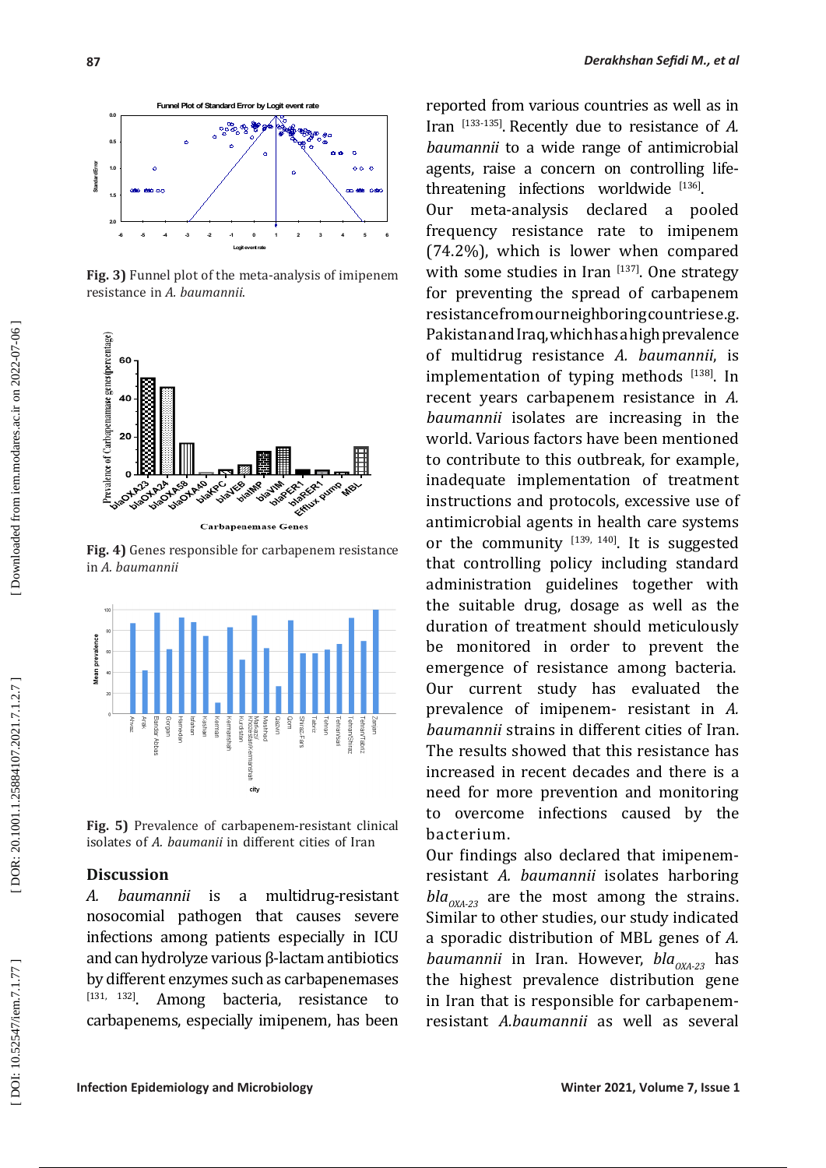

**Fig. 3)** Funnel plot of the meta-analysis of imipenem resistance in *A. baumannii* .



**Fig. 4)** Genes responsible for carbapenem resistance in *A. baumannii*



**Fig. 5)** Prevalence of carbapenem-resistant clinical isolates of *A. baumanii* in different cities of Iran

## **Discussion**

*A. baumannii* is a multidrug-resistant nosocomial pathogen that causes severe infections among patients especially in ICU and can hydrolyze various β-lactam antibiotics by different enzymes such as carbapenemases<br> $[131, 132]$  Among hacteria resistance to Among bacteria, resistance to carbapenems, especially imipenem, has been reported from various countries as well as in Iran [133-135] . Recently due to resistance of *A. baumannii* to a wide range of antimicrobial agents, raise a concern on controlling lifethreatening infections worldwide [136].

Our meta-analysis declared a pooled frequency resistance rate to imipenem (74.2%), which is lower when compared with some studies in Iran  $[137]$ . One strategy for preventing the spread of carbapenem resistance from our neighboring countries e.g. Pakistan and Iraq, which has a high prevalence of multidrug resistance *A. baumannii*, is implementation of typing methods  $[138]$ . In recent years carbapenem resistance in *A. baumannii* isolates are increasing in the world. Various factors have been mentioned to contribute to this outbreak, for example, inadequate implementation of treatment instructions and protocols, excessive use of antimicrobial agents in health care systems or the community  $[139, 140]$ . It is suggested that controlling policy including standard administration guidelines together with the suitable drug, dosage as well as the duration of treatment should meticulously be monitored in order to prevent the emergence of resistance among bacteria. Our current study has evaluated the prevalence of imipenem- resistant in *A. baumannii* strains in different cities of Iran. The results showed that this resistance has increased in recent decades and there is a need for more prevention and monitoring to overcome infections caused by the bacterium.

Our findings also declared that imipenemresistant *A. baumannii* isolates harboring  $bla_{OXA-23}$  are the most among the strains. Similar to other studies, our study indicated a sporadic distribution of MBL genes of *A. baumannii* in Iran. However, *bla*<sub>0XA-23</sub> has the highest prevalence distribution gene in Iran that is responsible for carbapenemresistant *A.baumannii* as well as several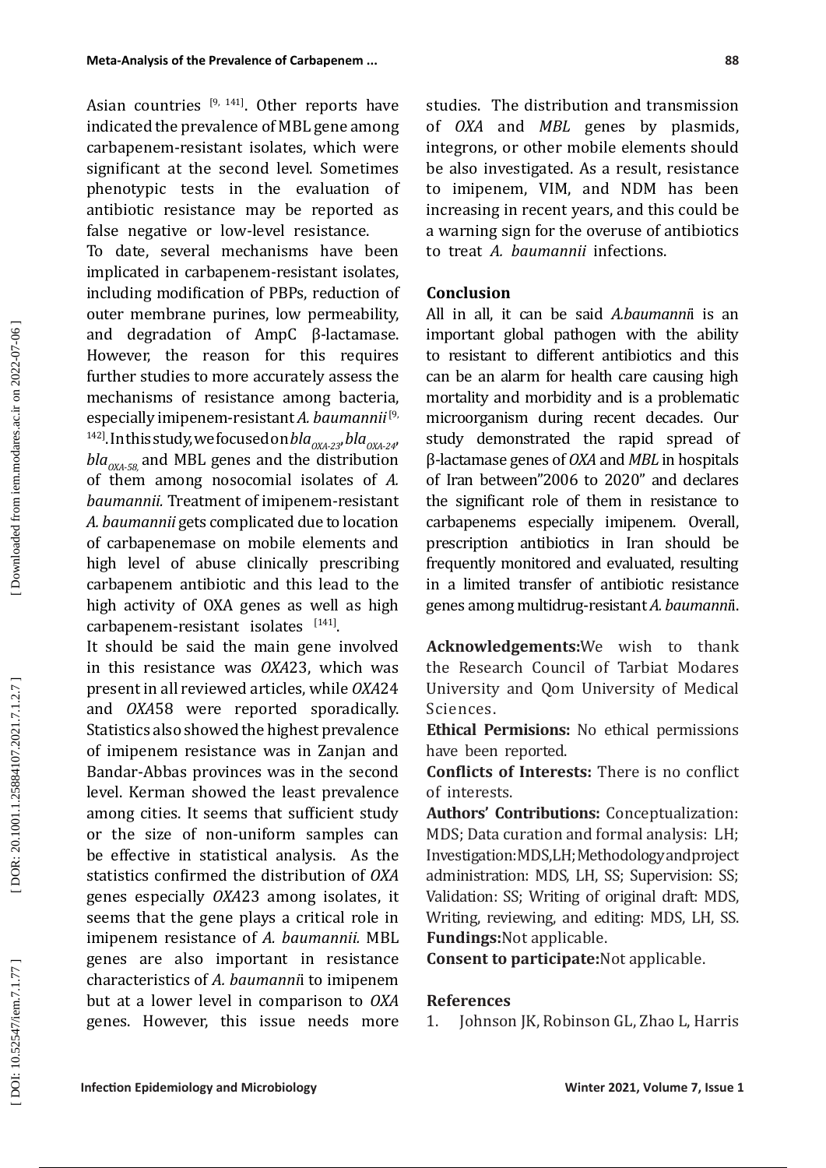Asian countries  $[9, 141]$ . Other reports have indicated the prevalence of MBL gene among carbapenem-resistant isolates, which were significant at the second level. Sometimes phenotypic tests in the evaluation of antibiotic resistance may be reported as false negative or low-level resistance.

To date, several mechanisms have been implicated in carbapenem-resistant isolates, including modification of PBPs, reduction of outer membrane purines, low permeability, and degradation of AmpC β-lactamase. However, the reason for this requires further studies to more accurately assess the mechanisms of resistance among bacteria, especially imipenem-resistant *A. baumannii*[9, <sup>142]</sup>. In this study, we focused on *bla*<sub>0XA-23</sub>, *bla*<sub>0XA-24</sub>,  $bla_{OX4-58}$  and MBL genes and the distribution of them among nosocomial isolates of *A. baumannii.* Treatment of imipenem-resistant *A. baumannii* gets complicated due to location of carbapenemase on mobile elements and high level of abuse clinically prescribing carbapenem antibiotic and this lead to the high activity of OXA genes as well as high carbapenem-resistant isolates [141].

It should be said the main gene involved in this resistance was *OXA*23, which was present in all reviewed articles, while *OXA*24 and *OXA*58 were reported sporadically. Statistics also showed the highest prevalence of imipenem resistance was in Zanjan and Bandar-Abbas provinces was in the second level. Kerman showed the least prevalence among cities. It seems that sufficient study or the size of non-uniform samples can be effective in statistical analysis. As the statistics confirmed the distribution of *OXA*  genes especially *OXA*23 among isolates, it seems that the gene plays a critical role in imipenem resistance of *A. baumannii.* MBL genes are also important in resistance characteristics of *A. baumanni*i to imipenem but at a lower level in comparison to *OXA*  genes. However, this issue needs more studies. The distribution and transmission of *OXA* and *MBL* genes by plasmids, integrons, or other mobile elements should be also investigated. As a result, resistance to imipenem, VIM, and NDM has been increasing in recent years, and this could be a warning sign for the overuse of antibiotics to treat *A. baumannii* infections.

## **Conclusion**

All in all, it can be said *A.baumanni*i is an important global pathogen with the ability to resistant to different antibiotics and this can be an alarm for health care causing high mortality and morbidity and is a problematic microorganism during recent decades. Our study demonstrated the rapid spread of β-lactamase genes of *OXA* and *MBL* in hospitals of Iran between"2006 to 2020" and declares the significant role of them in resistance to carbapenems especially imipenem. Overall, prescription antibiotics in Iran should be frequently monitored and evaluated, resulting in a limited transfer of antibiotic resistance genes among multidrug-resistant *A. baumanni*i.

**Acknowledgements:**We wish to thank the Research Council of Tarbiat Modares University and Qom University of Medical Sciences.

**Ethical Permisions:** No ethical permissions have been reported.

**Conflicts of Interests:** There is no conflict of interests.

**Authors' Contributions:** Conceptualization: MDS; Data curation and formal analysis: LH; Investigation: MDS, LH; Methodology and project administration: MDS, LH, SS; Supervision: SS; Validation: SS; Writing of original draft: MDS, Writing, reviewing, and editing: MDS, LH, SS. **Fundings:**Not applicable.

**Consent to participate:**Not applicable.

### **References**

1. Johnson JK, Robinson GL, Zhao L, Harris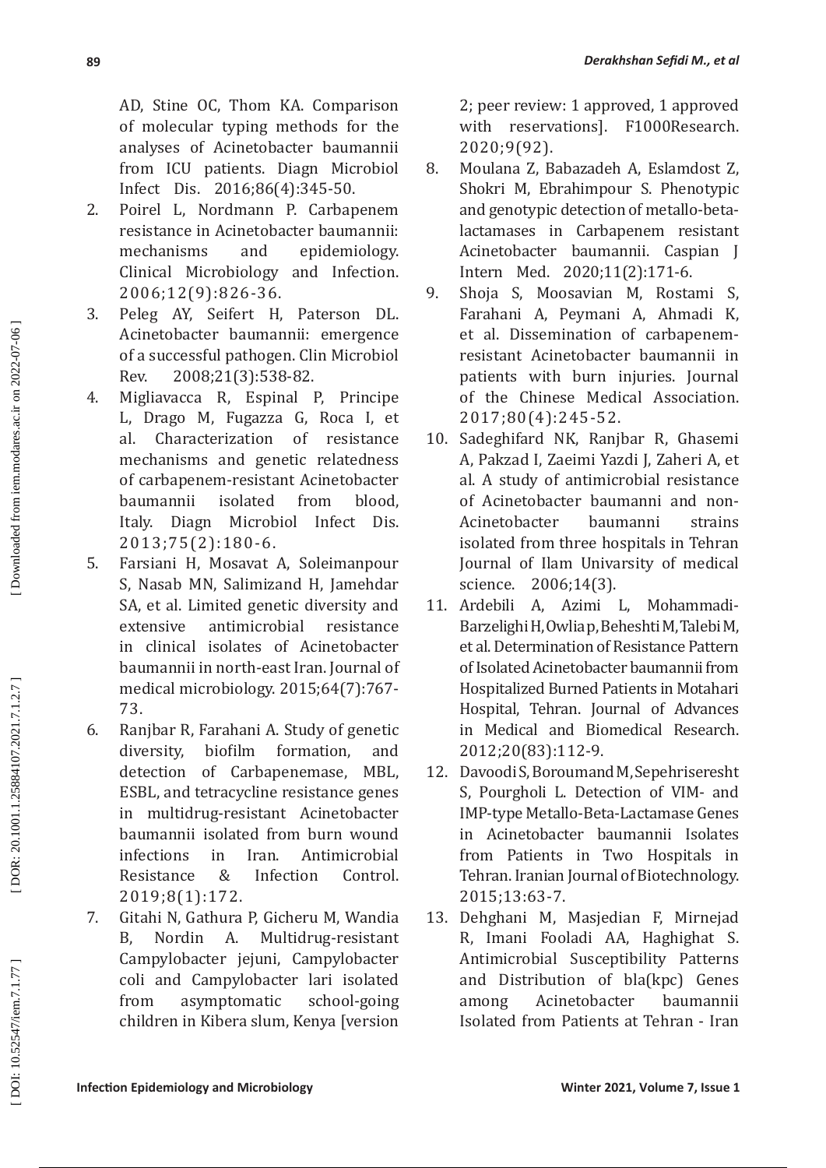AD, Stine OC, Thom KA. Comparison of molecular typing methods for the analyses of Acinetobacter baumannii from ICU patients. Diagn Microbiol Infect Dis. 2016;86(4):345-50.

- 2. Poirel L, Nordmann P. Carbapenem resistance in Acinetobacter baumannii: mechanisms and epidemiology. Clinical Microbiology and Infection. 2006;12(9):826-36.
- 3. Peleg AY, Seifert H, Paterson DL. Acinetobacter baumannii: emergence of a successful pathogen. Clin Microbiol Rev. 2008;21(3):538-82.
- 4. Migliavacca R, Espinal P, Principe L, Drago M, Fugazza G, Roca I, et al. Characterization of resistance mechanisms and genetic relatedness of carbapenem-resistant Acinetobacter baumannii isolated from blood,<br>Italy. Diagn Microbiol Infect Dis. Microbiol Infect 2013;75(2):180-6.
- 5. Farsiani H, Mosavat A, Soleimanpour S, Nasab MN, Salimizand H, Jamehdar SA, et al. Limited genetic diversity and extensive antimicrobial resistance in clinical isolates of Acinetobacter baumannii in north-east Iran. Journal of medical microbiology. 2015;64(7):767- 73.
- 6. Ranjbar R, Farahani A. Study of genetic formation, detection of Carbapenemase, MBL, ESBL, and tetracycline resistance genes in multidrug-resistant Acinetobacter baumannii isolated from burn wound infections in Iran. Antimicrobial<br>Resistance & Infection Control. Resistance & Infection Control. 2019;8(1):172.
- 7. Gitahi N, Gathura P, Gicheru M, Wandia B, Nordin A. Multidrug-resistant Campylobacter jejuni, Campylobacter coli and Campylobacter lari isolated from asymptomatic school-going children in Kibera slum, Kenya [version

2; peer review: 1 approved, 1 approved with reservations]. F1000Research. 2020;9(92).

- 8. Moulana Z, Babazadeh A, Eslamdost Z, Shokri M, Ebrahimpour S. Phenotypic and genotypic detection of metallo-betalactamases in Carbapenem resistant Acinetobacter baumannii. Caspian J Intern Med. 2020;11(2):171-6.
- 9. Shoja S, Moosavian M, Rostami S, Farahani A, Peymani A, Ahmadi K, et al. Dissemination of carbapenemresistant Acinetobacter baumannii in patients with burn injuries. Journal of the Chinese Medical Association. 2017;80(4):245-52.
- 10. Sadeghifard NK, Ranjbar R, Ghasemi A, Pakzad I, Zaeimi Yazdi J, Zaheri A, et al. A study of antimicrobial resistance of Acinetobacter baumanni and non-<br>Acinetobacter baumanni strains Acinetobacter baumanni strains isolated from three hospitals in Tehran Journal of Ilam Univarsity of medical
- science. 2006;14(3).<br>Ardebili A, Azimi L, 11. Ardebili A, Azimi L, Mohammadi-Barzelighi H, Owlia p, Beheshti M, Talebi M, et al. Determination of Resistance Pattern of Isolated Acinetobacter baumannii from Hospitalized Burned Patients in Motahari Hospital, Tehran. Journal of Advances in Medical and Biomedical Research. 2012;20(83):112-9.
- 12. Davoodi S, Boroumand M, Sepehriseresht S, Pourgholi L. Detection of VIM- and IMP-type Metallo-Beta-Lactamase Genes in Acinetobacter baumannii Isolates from Patients in Two Hospitals in Tehran. Iranian Journal of Biotechnology. 2015;13:63-7.
- 13. Dehghani M, Masjedian F, Mirnejad R, Imani Fooladi AA, Haghighat S. Antimicrobial Susceptibility Patterns and Distribution of bla(kpc) Genes among Acinetobacter baumannii Isolated from Patients at Tehran - Iran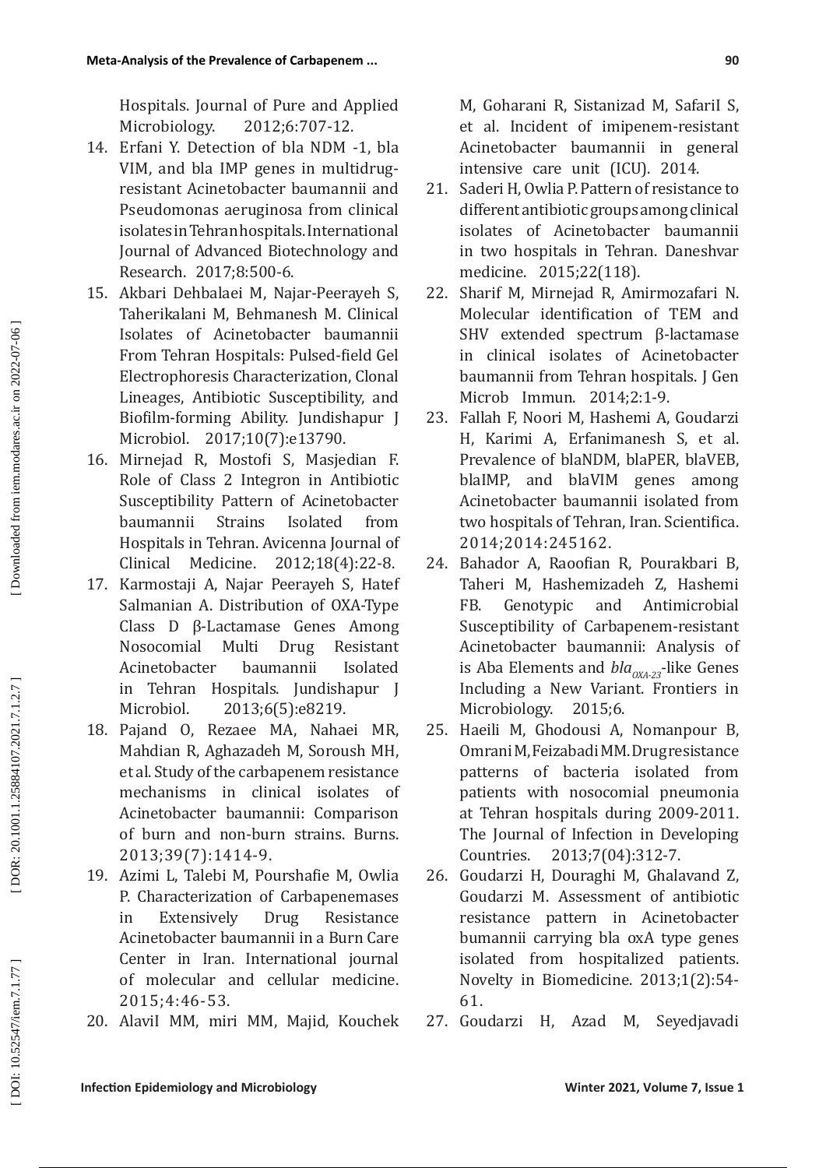Hospitals. Journal of Pure and Applied Microbiology. 2012;6:707-12.

- 14. Erfani Y. Detection of bla NDM -1, bla VIM, and bla IMP genes in multidrugresistant Acinetobacter baumannii and Pseudomonas aeruginosa from clinical isolates in Tehran hospitals. International Journal of Advanced Biotechnology and Research. 2017;8:500-6.
- 15. Akbari Dehbalaei M, Najar-Peerayeh S, Taherikalani M, Behmanesh M. Clinical Isolates of Acinetobacter baumannii From Tehran Hospitals: Pulsed-field Gel Electrophoresis Characterization, Clonal Lineages, Antibiotic Susceptibility, and Biofilm-forming Ability. Jundishapur J Microbiol. 2017;10(7):e13790.
- 16. Mirnejad R, Mostofi S, Masjedian F. Role of Class 2 Integron in Antibiotic Susceptibility Pattern of Acinetobacter<br>baumannii Strains Isolated from baumannii Strains Isolated from Hospitals in Tehran. Avicenna Journal of<br>Clinical Medicine. 2012;18(4):22-8. Clinical Medicine. 2012;18(4):22-8.
- 17. Karmostaji A, Najar Peerayeh S, Hatef Salmanian A. Distribution of OXA-Type Class D β-Lactamase Genes Among Nosocomial Multi Drug Resistant Acinetobacter baumannii Isolated in Tehran Hospitals. Jundishapur J Microbiol. 2013;6(5):e8219.
- 18. Pajand O, Rezaee MA, Nahaei MR, Mahdian R, Aghazadeh M, Soroush MH, et al. Study of the carbapenem resistance mechanisms in clinical isolates of Acinetobacter baumannii: Comparison of burn and non-burn strains. Burns. 2013;39(7):1414-9.
- 19. Azimi L, Talebi M, Pourshafie M, Owlia P. Characterization of Carbapenemases in Extensively Drug Resistance Acinetobacter baumannii in a Burn Care Center in Iran. International journal of molecular and cellular medicine. 2015;4:46-53.
- 20. AlaviI MM, miri MM, Majid, Kouchek

M, Goharani R, Sistanizad M, SafariI S, et al. Incident of imipenem-resistant Acinetobacter baumannii in general intensive care unit (ICU). 2014.

- 21. Saderi H, Owlia P. Pattern of resistance to different antibiotic groups among clinical isolates of Acinetobacter baumannii in two hospitals in Tehran. Daneshvar medicine. 2015;22(118).
- 22. Sharif M, Mirnejad R, Amirmozafari N. Molecular identification of TEM and SHV extended spectrum β-lactamase in clinical isolates of Acinetobacter baumannii from Tehran hospitals. J Gen Microb Immun. 2014;2:1-9.
- 23. Fallah F, Noori M, Hashemi A, Goudarzi H, Karimi A, Erfanimanesh S, et al. Prevalence of blaNDM, blaPER, blaVEB, blaIMP, and blaVIM genes among Acinetobacter baumannii isolated from two hospitals of Tehran, Iran. Scientifica. 2014;2014:245162.
- 24. Bahador A, Raoofian R, Pourakbari B, Taheri M, Hashemizadeh Z, Hashemi FB. Genotypic and Antimicrobial Susceptibility of Carbapenem-resistant Acinetobacter baumannii: Analysis of is Aba Elements and  $bla_{OXA-23}$ -like Genes Including a New Variant. Frontiers in Microbiology. 2015;6.
- 25. Haeili M, Ghodousi A, Nomanpour B, Omrani M, Feizabadi MM. Drug resistance patterns of bacteria isolated from patients with nosocomial pneumonia at Tehran hospitals during 2009-2011. The Journal of Infection in Developing Countries. 2013;7(04):312-7.
- 26. Goudarzi H, Douraghi M, Ghalavand Z, Goudarzi M. Assessment of antibiotic resistance pattern in Acinetobacter bumannii carrying bla oxA type genes isolated from hospitalized patients. Novelty in Biomedicine. 2013;1(2):54- 61.
- 27. Goudarzi H, Azad M, Seyedjavadi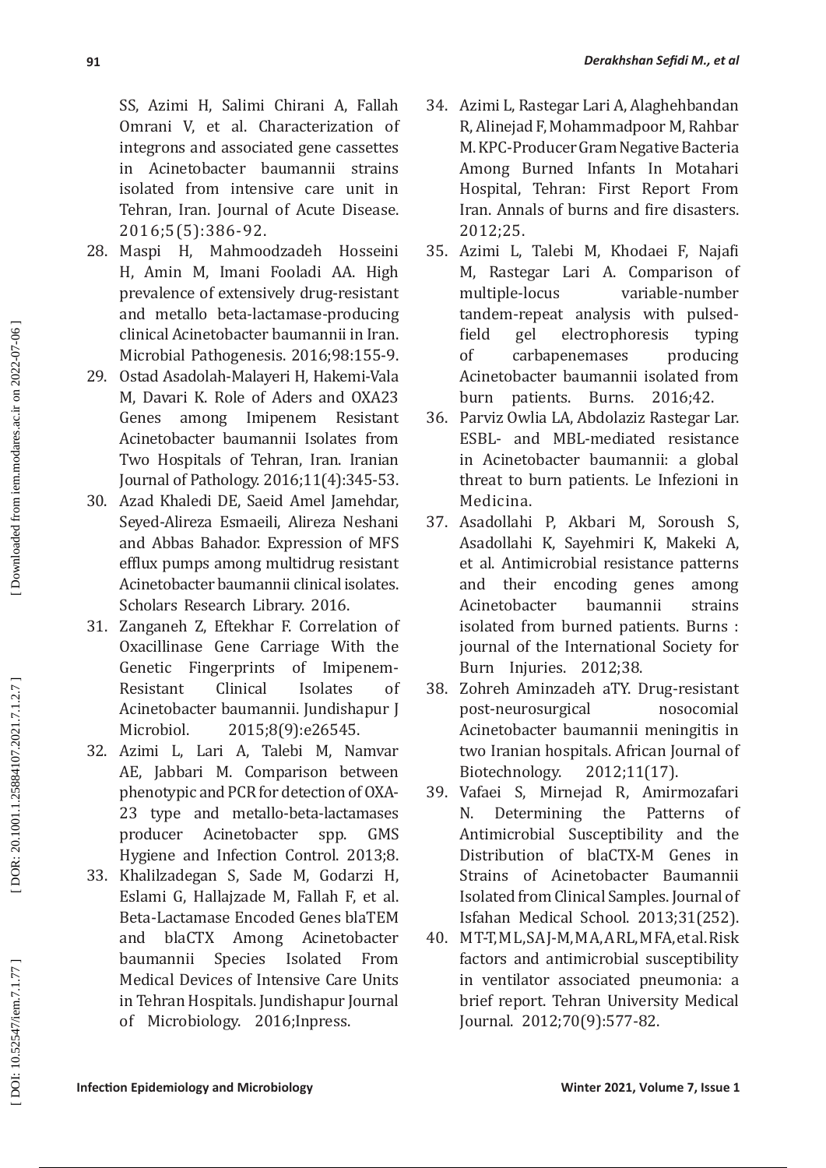SS, Azimi H, Salimi Chirani A, Fallah Omrani V, et al. Characterization of integrons and associated gene cassettes in Acinetobacter baumannii strains isolated from intensive care unit in Tehran, Iran. Journal of Acute Disease. 2016;5(5):386-92.

- 28. Maspi H, Mahmoodzadeh Hosseini H, Amin M, Imani Fooladi AA. High prevalence of extensively drug-resistant and metallo beta-lactamase-producing clinical Acinetobacter baumannii in Iran. Microbial Pathogenesis. 2016;98:155-9.
- 29. Ostad Asadolah-Malayeri H, Hakemi-Vala M, Davari K. Role of Aders and OXA23 among Imipenem Resistant Acinetobacter baumannii Isolates from Two Hospitals of Tehran, Iran. Iranian Journal of Pathology. 2016;11(4):345-53.
- 30. Azad Khaledi DE, Saeid Amel Jamehdar, Seyed-Alireza Esmaeili, Alireza Neshani and Abbas Bahador. Expression of MFS efflux pumps among multidrug resistant Acinetobacter baumannii clinical isolates. Scholars Research Library. 2016.
- 31. Zanganeh Z, Eftekhar F. Correlation of Oxacillinase Gene Carriage With the Genetic Fingerprints of Imipenem-<br>Resistant Clinical Isolates of Resistant Clinical Isolates of Acinetobacter baumannii. Jundishapur J Microbiol. 2015;8(9):e26545.
- 32. Azimi L, Lari A, Talebi M, Namvar AE, Jabbari M. Comparison between phenotypic and PCR for detection of OXA-23 type and metallo-beta-lactamases producer Acinetobacter spp. GMS Hygiene and Infection Control. 2013;8.
- 33. Khalilzadegan S, Sade M, Godarzi H, Eslami G, Hallajzade M, Fallah F, et al. Beta-Lactamase Encoded Genes blaTEM and blaCTX Among Acinetobacter baumannii Species Isolated From Medical Devices of Intensive Care Units in Tehran Hospitals. Jundishapur Journal of Microbiology. 2016;Inpress.
- 34. Azimi L, Rastegar Lari A, Alaghehbandan R, Alinejad F, Mohammadpoor M, Rahbar M. KPC-Producer Gram Negative Bacteria Among Burned Infants In Motahari Hospital, Tehran: First Report From Iran. Annals of burns and fire disasters. 2012;25.
- 35. Azimi L, Talebi M, Khodaei F, Najafi M, Rastegar Lari A. Comparison of multiple-locus variable-number tandem-repeat analysis with pulsedfield gel electrophoresis typing<br>of carbapenemases producing carbapenemases Acinetobacter baumannii isolated from burn patients. Burns. 2016;42.
- 36. Parviz Owlia LA, Abdolaziz Rastegar Lar. ESBL- and MBL-mediated resistance in Acinetobacter baumannii: a global threat to burn patients. Le Infezioni in Medicina.
- 37. Asadollahi P, Akbari M, Soroush S, Asadollahi K, Sayehmiri K, Makeki A, et al. Antimicrobial resistance patterns and their encoding genes among<br>Acinetobacter baumannii strains Acinetobacter baumannii strains isolated from burned patients. Burns : journal of the International Society for Burn Injuries. 2012;38.
- 38. Zohreh Aminzadeh aTY. Drug-resistant post-neurosurgical nosocomial Acinetobacter baumannii meningitis in two Iranian hospitals. African Journal of<br>Biotechnology. 2012:11(17). Biotechnology.
- 39. Vafaei S, Mirnejad R, Amirmozafari Determining the Patterns of Antimicrobial Susceptibility and the Distribution of blaCTX-M Genes in Strains of Acinetobacter Baumannii Isolated from Clinical Samples. Journal of Isfahan Medical School. 2013;31(252).
- 40. M T-T, M L, SA J-M, M A, A RL, M FA, et al. Risk factors and antimicrobial susceptibility in ventilator associated pneumonia: a brief report. Tehran University Medical Journal. 2012;70(9):577-82.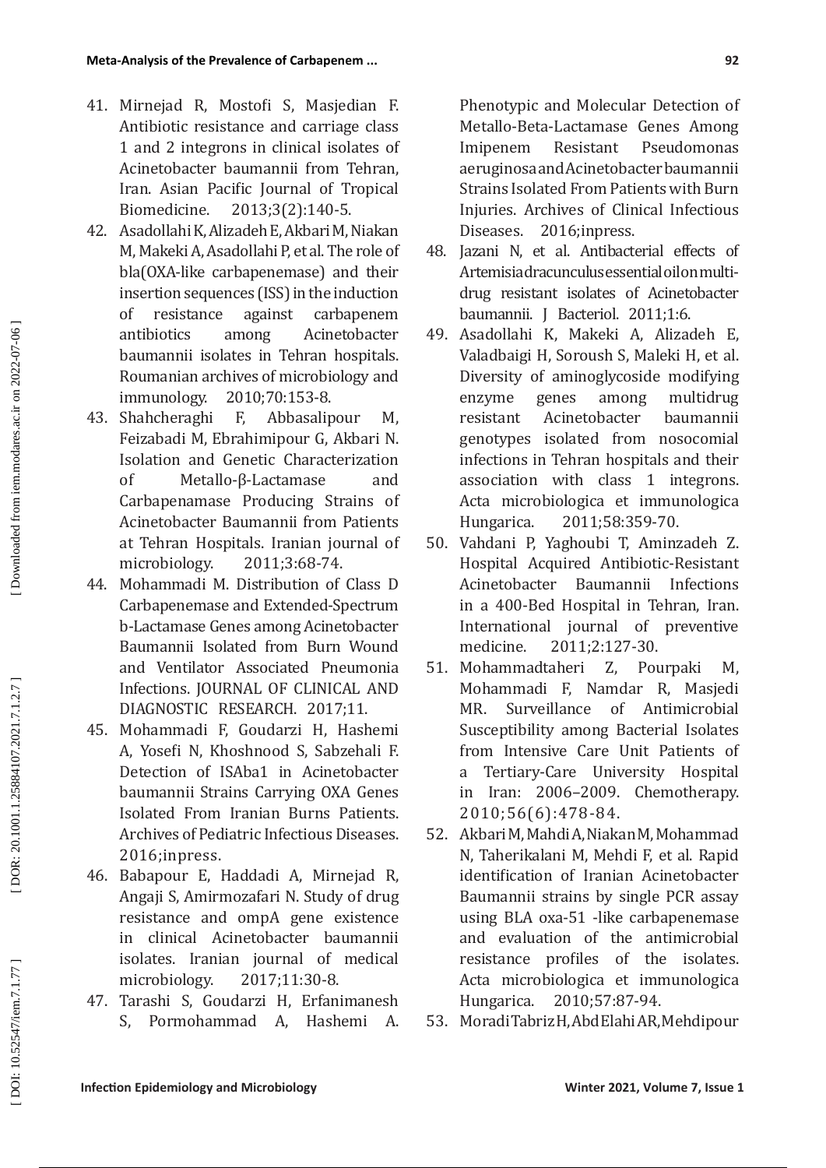- 41. Mirnejad R, Mostofi S, Masjedian F. Antibiotic resistance and carriage class 1 and 2 integrons in clinical isolates of Acinetobacter baumannii from Tehran, Iran. Asian Pacific Journal of Tropical Biomedicine. 2013;3(2):140-5.
- 42. Asadollahi K, Alizadeh E, Akbari M, Niakan M, Makeki A, Asadollahi P, et al. The role of bla(OXA-like carbapenemase) and their insertion sequences (ISS) in the induction<br>of resistance against carbapenem of resistance against carbapenem antibiotics among Acinetobacter baumannii isolates in Tehran hospitals. Roumanian archives of microbiology and immunology. 2010;70:153-8.<br>Shahcheraghi F. Abbasalipour
- 43. Shahcheraghi F, Abbasalipour M, Feizabadi M, Ebrahimipour G, Akbari N. Isolation and Genetic Characterization<br>of Metallo-B-Lactamase and Metallo-β-Lactamase and Carbapenamase Producing Strains of Acinetobacter Baumannii from Patients at Tehran Hospitals. Iranian journal of microbiology. 2011;3:68-74.
- 44. Mohammadi M. Distribution of Class D Carbapenemase and Extended-Spectrum b-Lactamase Genes among Acinetobacter Baumannii Isolated from Burn Wound and Ventilator Associated Pneumonia Infections. JOURNAL OF CLINICAL AND DIAGNOSTIC RESEARCH. 2017;11.
- 45. Mohammadi F, Goudarzi H, Hashemi A, Yosefi N, Khoshnood S, Sabzehali F. Detection of ISAba1 in Acinetobacter baumannii Strains Carrying OXA Genes Isolated From Iranian Burns Patients. Archives of Pediatric Infectious Diseases. 2016;inpress.
- 46. Babapour E, Haddadi A, Mirnejad R, Angaji S, Amirmozafari N. Study of drug resistance and ompA gene existence in clinical Acinetobacter baumannii isolates. Iranian journal of medical microbiology. 2017;11:30-8.
- 47. Tarashi S, Goudarzi H, Erfanimanesh S, Pormohammad A, Hashemi A.

Phenotypic and Molecular Detection of Metallo-Beta-Lactamase Genes Among Pseudomonas aeruginosa and Acinetobacter baumannii Strains Isolated From Patients with Burn Injuries. Archives of Clinical Infectious Diseases. 2016;inpress.

- 48. Jazani N, et al. Antibacterial effects of Artemisia dracunculus essential oil on multidrug resistant isolates of Acinetobacter baumannii. J Bacteriol. 2011;1:6.
- 49. Asadollahi K, Makeki A, Alizadeh E, Valadbaigi H, Soroush S, Maleki H, et al. Diversity of aminoglycoside modifying enzyme genes among multidrug Acinetobacter genotypes isolated from nosocomial infections in Tehran hospitals and their association with class 1 integrons. Acta microbiologica et immunologica<br>Hungarica. 2011;58:359-70. Hungarica. 2011;58:359-70.
- 50. Vahdani P, Yaghoubi T, Aminzadeh Z. Hospital Acquired Antibiotic-Resistant Acinetobacter Baumannii in a 400-Bed Hospital in Tehran, Iran. International journal of preventive<br>medicine. 2011:2:127-30. medicine. 2011;2:127-30.
- 51. Mohammadtaheri Z, Pourpaki M, Mohammadi F, Namdar R, Masjedi MR. Surveillance of Antimicrobial Susceptibility among Bacterial Isolates from Intensive Care Unit Patients of a Tertiary-Care University Hospital in Iran: 2006–2009. Chemotherapy. 2010;56(6):478-84.
- 52. Akbari M, Mahdi A, Niakan M, Mohammad N, Taherikalani M, Mehdi F, et al. Rapid identification of Iranian Acinetobacter Baumannii strains by single PCR assay using BLA oxa-51 -like carbapenemase and evaluation of the antimicrobial resistance profiles of the isolates. Acta microbiologica et immunologica Hungarica. 2010;57:87-94.
- 53. Moradi Tabriz H, Abd Elahi AR, Mehdipour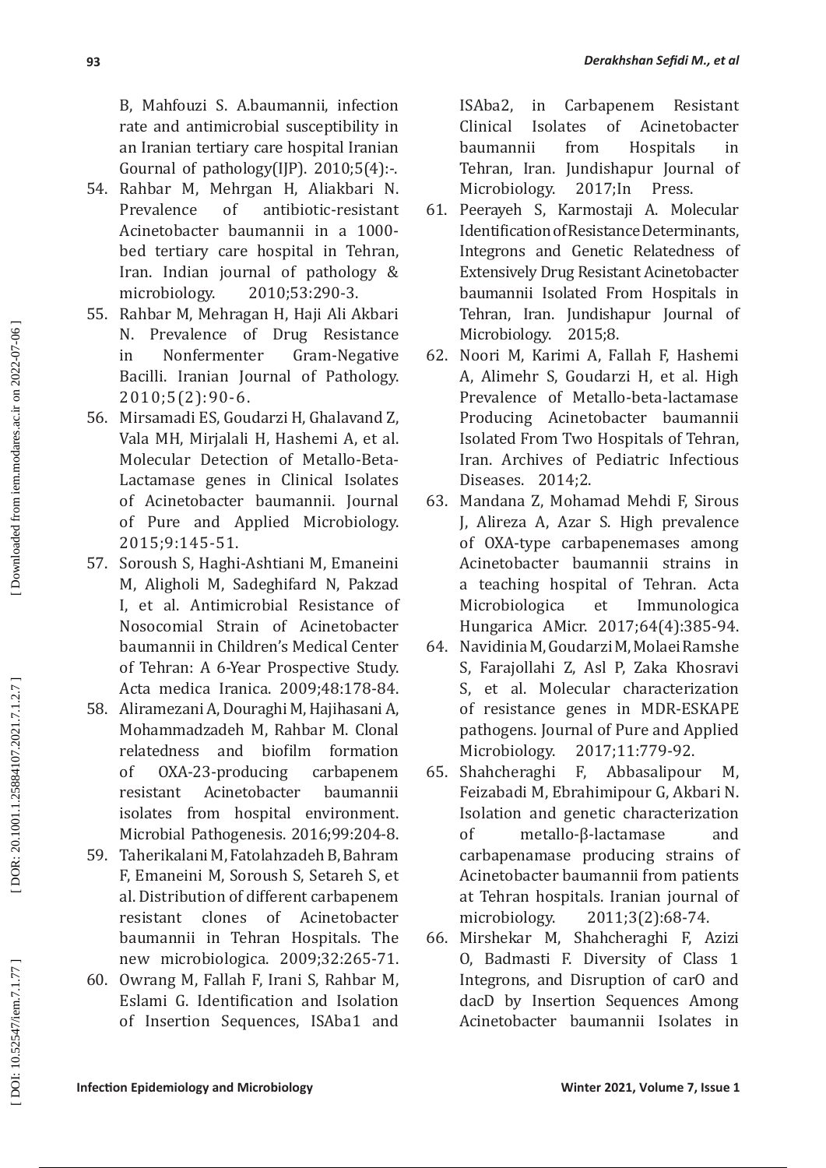B, Mahfouzi S. A.baumannii, infection rate and antimicrobial susceptibility in an Iranian tertiary care hospital Iranian Gournal of pathology $(I|P)$ . 2010;5 $(4)$ :-.

- 54. Rahbar M, Mehrgan H, Aliakbari N. Prevalence of antibiotic-resistant Acinetobacter baumannii in a 1000 bed tertiary care hospital in Tehran, Iran. Indian journal of pathology & microbiology. 2010;53:290-3.
- 55. Rahbar M, Mehragan H, Haji Ali Akbari N. Prevalence of Drug Resistance<br>in Nonfermenter Gram-Negative in Nonfermenter Gram-Negative Bacilli. Iranian Journal of Pathology. 2010;5(2):90-6.
- 56. Mirsamadi ES, Goudarzi H, Ghalavand Z, Vala MH, Mirjalali H, Hashemi A, et al. Molecular Detection of Metallo-Beta-Lactamase genes in Clinical Isolates of Acinetobacter baumannii. Journal of Pure and Applied Microbiology. 2015;9:145-51.
- 57. Soroush S, Haghi-Ashtiani M, Emaneini M, Aligholi M, Sadeghifard N, Pakzad I, et al. Antimicrobial Resistance of Nosocomial Strain of Acinetobacter baumannii in Children's Medical Center of Tehran: A 6-Year Prospective Study. Acta medica Iranica. 2009;48:178-84.
- 58. Aliramezani A, Douraghi M, Hajihasani A, Mohammadzadeh M, Rahbar M. Clonal<br>relatedness and biofilm formation and biofilm of OXA-23-producing carbapenem resistant Acinetobacter baumannii isolates from hospital environment. Microbial Pathogenesis. 2016;99:204-8.
- 59. Taherikalani M, Fatolahzadeh B, Bahram F, Emaneini M, Soroush S, Setareh S, et al. Distribution of different carbapenem resistant clones of Acinetobacter baumannii in Tehran Hospitals. The new microbiologica. 2009;32:265-71.
- 60. Owrang M, Fallah F, Irani S, Rahbar M, Eslami G. Identification and Isolation of Insertion Sequences, ISAba1 and

ISAba2, in Carbapenem Resistant Clinical Isolates of Acinetobacter baumannii from Hospitals in Tehran, Iran. Jundishapur Journal of<br>Microbiology. 2017; In Press. Microbiology.

- 61. Peerayeh S, Karmostaji A. Molecular Identification of Resistance Determinants, Integrons and Genetic Relatedness of Extensively Drug Resistant Acinetobacter baumannii Isolated From Hospitals in Tehran, Iran. Jundishapur Journal of Microbiology. 2015;8.
- 62. Noori M, Karimi A, Fallah F, Hashemi A, Alimehr S, Goudarzi H, et al. High Prevalence of Metallo-beta-lactamase Producing Acinetobacter baumannii Isolated From Two Hospitals of Tehran, Iran. Archives of Pediatric Infectious Diseases. 2014;2.
- 63. Mandana Z, Mohamad Mehdi F, Sirous J, Alireza A, Azar S. High prevalence of OXA-type carbapenemases among Acinetobacter baumannii strains in a teaching hospital of Tehran. Acta Microbiologica et Immunologica Hungarica AMicr. 2017;64(4):385-94.
- 64. Navidinia M, Goudarzi M, Molaei Ramshe S, Farajollahi Z, Asl P, Zaka Khosravi S, et al. Molecular characterization of resistance genes in MDR-ESKAPE pathogens. Journal of Pure and Applied<br>Microbiology. 2017;11:779-92.
- 2017;11:779-92.<br>F. Abbasalipour 65. Shahcheraghi F, Abbasalipour M, Feizabadi M, Ebrahimipour G, Akbari N. Isolation and genetic characterization of metallo-β-lactamase and carbapenamase producing strains of Acinetobacter baumannii from patients at Tehran hospitals. Iranian journal of<br>microbiology. 2011;3(2):68-74. microbiology. 2011;3(2):68-74.
- 66. Mirshekar M, Shahcheraghi F, Azizi O, Badmasti F. Diversity of Class 1 Integrons, and Disruption of carO and dacD by Insertion Sequences Among Acinetobacter baumannii Isolates in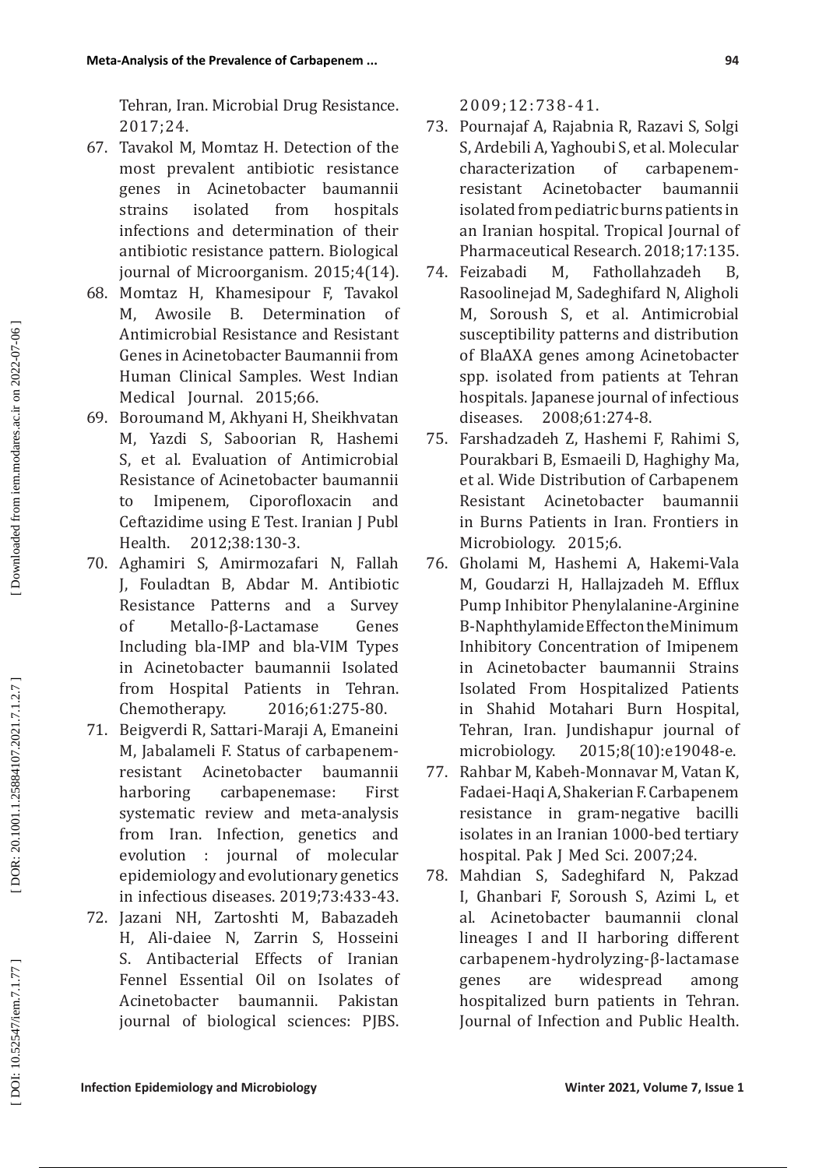Tehran, Iran. Microbial Drug Resistance. 2017;24.

- 67. Tavakol M, Momtaz H. Detection of the most prevalent antibiotic resistance<br>genes in Acinetobacter baumannii genes in Acinetobacter baumannii strains isolated from hospitals infections and determination of their antibiotic resistance pattern. Biological journal of Microorganism. 2015;4(14).
- 68. Momtaz H, Khamesipour F, Tavakol M, Awosile B. Determination of Antimicrobial Resistance and Resistant Genes in Acinetobacter Baumannii from Human Clinical Samples. West Indian Medical Journal. 2015;66.
- 69. Boroumand M, Akhyani H, Sheikhvatan M, Yazdi S, Saboorian R, Hashemi S, et al. Evaluation of Antimicrobial Resistance of Acinetobacter baumannii to Imipenem, Ciporofloxacin and Ceftazidime using E Test. Iranian J Publ<br>Health. 2012;38:130-3. Health. 2012;38:130-3.
- 70. Aghamiri S, Amirmozafari N, Fallah J, Fouladtan B, Abdar M. Antibiotic Resistance Patterns and a Survey of Metallo-β-Lactamase Genes Including bla-IMP and bla-VIM Types in Acinetobacter baumannii Isolated from Hospital Patients in Tehran.<br>Chemotherapy. 2016;61:275-80. Chemotherapy. 2016;61:275-80.
- 71. Beigverdi R, Sattari-Maraji A, Emaneini M, Jabalameli F. Status of carbapenemresistant Acinetobacter baumannii harboring carbapenemase: First systematic review and meta-analysis from Iran. Infection, genetics and evolution : journal of molecular epidemiology and evolutionary genetics in infectious diseases. 2019;73:433-43.
- 72. Jazani NH, Zartoshti M, Babazadeh H, Ali-daiee N, Zarrin S, Hosseini S. Antibacterial Effects of Iranian Fennel Essential Oil on Isolates of Acinetobacter baumannii. Pakistan journal of biological sciences: PJBS.

2009;12:738-41.

- 73. Pournajaf A, Rajabnia R, Razavi S, Solgi S, Ardebili A, Yaghoubi S, et al. Molecular characterization of carbapenemresistant Acinetobacter isolated from pediatric burns patients in an Iranian hospital. Tropical Journal of Pharmaceutical Research. 2018;17:135.
- 74. Feizabadi M, Fathollahzadeh B, Rasoolinejad M, Sadeghifard N, Aligholi M, Soroush S, et al. Antimicrobial susceptibility patterns and distribution of BlaAXA genes among Acinetobacter spp. isolated from patients at Tehran hospitals. Japanese journal of infectious diseases. 2008;61:274-8.
- 75. Farshadzadeh Z, Hashemi F, Rahimi S, Pourakbari B, Esmaeili D, Haghighy Ma, et al. Wide Distribution of Carbapenem Resistant Acinetobacter baumannii in Burns Patients in Iran. Frontiers in Microbiology. 2015;6.
- 76. Gholami M, Hashemi A, Hakemi-Vala M, Goudarzi H, Hallajzadeh M. Efflux Pump Inhibitor Phenylalanine-Arginine Β-Naphthylamide Effect on the Minimum Inhibitory Concentration of Imipenem in Acinetobacter baumannii Strains Isolated From Hospitalized Patients in Shahid Motahari Burn Hospital, Tehran, Iran. Jundishapur journal of microbiology. 2015;8(10):e19048-e.
- 77. Rahbar M, Kabeh-Monnavar M, Vatan K, Fadaei-Haqi A, Shakerian F. Carbapenem resistance in gram-negative bacilli isolates in an Iranian 1000-bed tertiary hospital. Pak J Med Sci. 2007;24.
- 78. Mahdian S, Sadeghifard N, Pakzad I, Ghanbari F, Soroush S, Azimi L, et al. Acinetobacter baumannii clonal lineages I and II harboring different carbapenem-hydrolyzing-β-lactamase genes are widespread among hospitalized burn patients in Tehran. Journal of Infection and Public Health.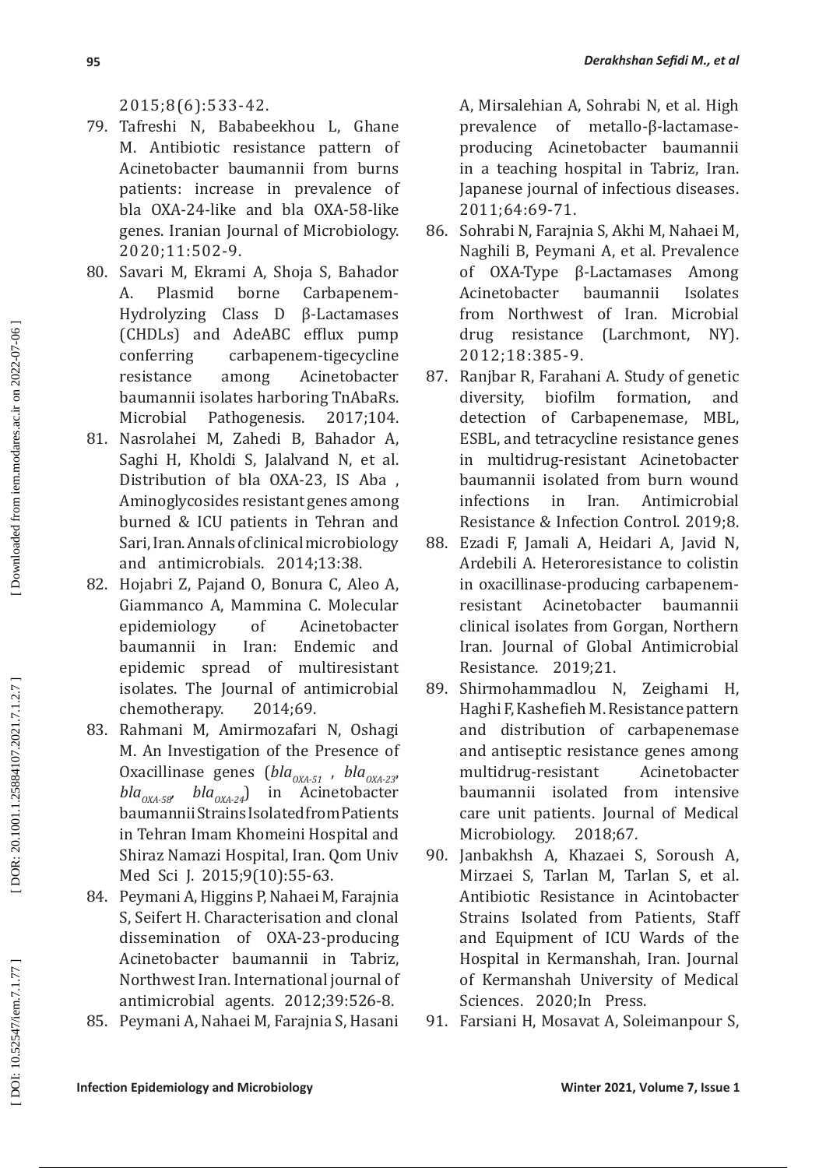# 2015;8(6):533-42.

- 79. Tafreshi N, Bababeekhou L, Ghane M. Antibiotic resistance pattern of Acinetobacter baumannii from burns patients: increase in prevalence of bla OXA-24-like and bla OXA-58-like genes. Iranian Journal of Microbiology. 2020;11:502-9.
- 80. Savari M, Ekrami A, Shoja S, Bahador A. Plasmid borne Carbapenem-Hydrolyzing Class D β-Lactamases (CHDLs) and AdeABC efflux pump<br>conferring carbapenem-tigecycline carbapenem-tigecycline resistance among Acinetobacter baumannii isolates harboring TnAbaRs. Microbial Pathogenesis. 2017;104.
- 81. Nasrolahei M, Zahedi B, Bahador A, Saghi H, Kholdi S, Jalalvand N, et al. Distribution of bla OXA-23, IS Aba , Aminoglycosides resistant genes among burned & ICU patients in Tehran and Sari, Iran. Annals of clinical microbiology and antimicrobials. 2014;13:38.
- 82. Hojabri Z, Pajand O, Bonura C, Aleo A, Giammanco A, Mammina C. Molecular epidemiology of Acinetobacter baumannii in Iran: Endemic and epidemic spread of multiresistant isolates. The Journal of antimicrobial<br>chemotherapy. 2014;69. chemotherapy.
- 83. Rahmani M, Amirmozafari N, Oshagi M. An Investigation of the Presence of Oxacillinase genes (*bla<sub>OXA-51</sub>*, *bla*<sub>OXA-23</sub>, *bla*<sub>OXA-58</sub>, *bla*<sub>OXA-24</sub>) in Acinetobacter baumannii Strains Isolated from Patients in Tehran Imam Khomeini Hospital and Shiraz Namazi Hospital, Iran. Qom Univ Med Sci J. 2015;9(10):55-63.
- 84. Peymani A, Higgins P, Nahaei M, Farajnia S, Seifert H. Characterisation and clonal dissemination of OXA-23-producing Acinetobacter baumannii in Tabriz, Northwest Iran. International journal of antimicrobial agents. 2012;39:526-8.
- 85. Peymani A, Nahaei M, Farajnia S, Hasani

A, Mirsalehian A, Sohrabi N, et al. High prevalence of metallo-β-lactamaseproducing Acinetobacter baumannii in a teaching hospital in Tabriz, Iran. Japanese journal of infectious diseases. 2011;64:69-71.

- 86. Sohrabi N, Farajnia S, Akhi M, Nahaei M, Naghili B, Peymani A, et al. Prevalence<br>of OXA-Type B-Lactamases Among of OXA-Type β-Lactamases Among Acinetobacter baumannii Isolates from Northwest of Iran. Microbial drug resistance (Larchmont, NY). 2012;18:385-9.
- 87. Ranjbar R, Farahani A. Study of genetic diversity, biofilm formation, and detection of Carbapenemase, MBL, ESBL, and tetracycline resistance genes in multidrug-resistant Acinetobacter baumannii isolated from burn wound infections in Iran. Antimicrobial Resistance & Infection Control. 2019;8.
- 88. Ezadi F, Jamali A, Heidari A, Javid N, Ardebili A. Heteroresistance to colistin in oxacillinase-producing carbapenemresistant Acinetobacter baumannii clinical isolates from Gorgan, Northern Iran. Journal of Global Antimicrobial Resistance. 2019;21.
- 89. Shirmohammadlou N, Zeighami H, Haghi F, Kashefieh M. Resistance pattern and distribution of carbapenemase and antiseptic resistance genes among multidrug-resistant Acinetobacter baumannii isolated from intensive care unit patients. Journal of Medical Microbiology. 2018:67.
- 90. Janbakhsh A, Khazaei S, Soroush A, Mirzaei S, Tarlan M, Tarlan S, et al. Antibiotic Resistance in Acintobacter Strains Isolated from Patients, Staff and Equipment of ICU Wards of the Hospital in Kermanshah, Iran. Journal of Kermanshah University of Medical Sciences. 2020;In Press.
- 91. Farsiani H, Mosavat A, Soleimanpour S,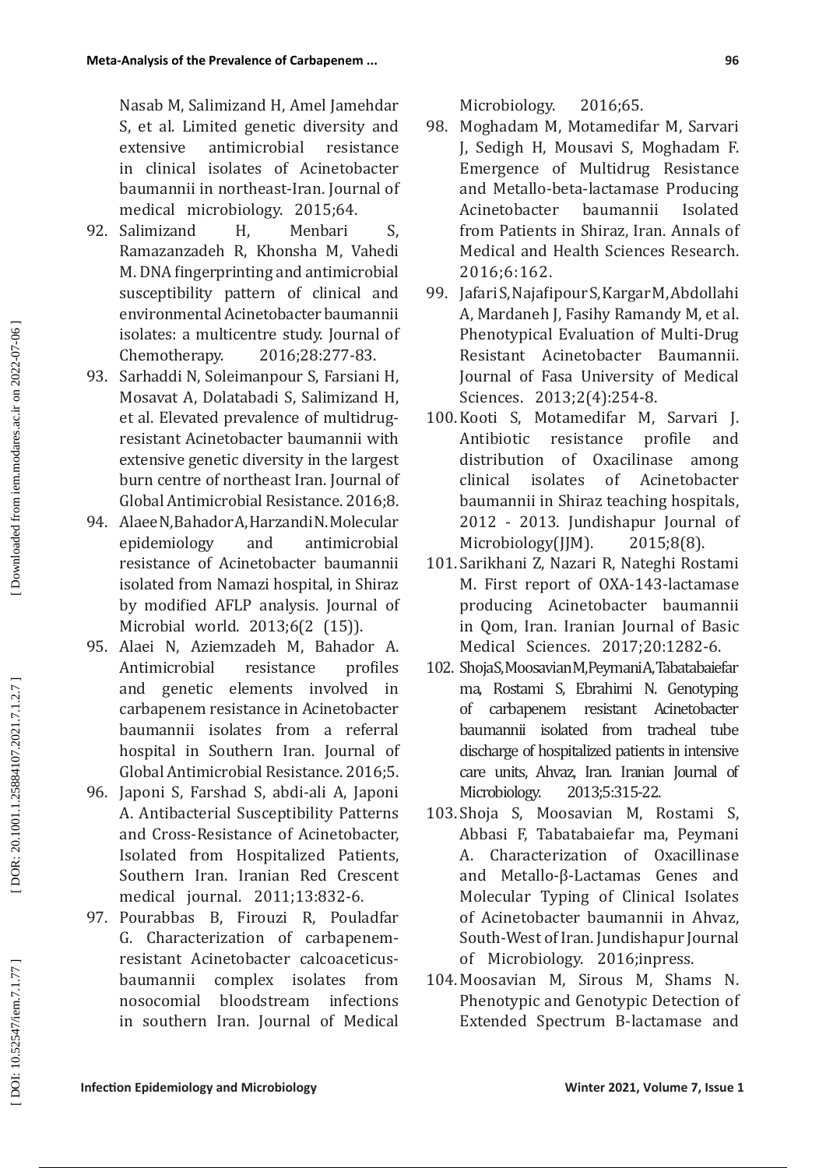Nasab M, Salimizand H, Amel Jamehdar S, et al. Limited genetic diversity and extensive antimicrobial resistance in clinical isolates of Acinetobacter baumannii in northeast-Iran. Journal of medical microbiology. 2015;64.

- 92. Salimizand H, Menbari S, Ramazanzadeh R, Khonsha M, Vahedi M. DNA fingerprinting and antimicrobial susceptibility pattern of clinical and environmental Acinetobacter baumannii isolates: a multicentre study. Journal of<br>Chemotherapy. 2016;28:277-83. Chemotherapy. 2016;28:277-83.
- 93. Sarhaddi N, Soleimanpour S, Farsiani H, Mosavat A, Dolatabadi S, Salimizand H, et al. Elevated prevalence of multidrugresistant Acinetobacter baumannii with extensive genetic diversity in the largest burn centre of northeast Iran. Journal of Global Antimicrobial Resistance. 2016;8.
- 94. Alaee N, Bahador A, Harzandi N. Molecular<br>enidemiology and antimicrobial epidemiology and resistance of Acinetobacter baumannii isolated from Namazi hospital, in Shiraz by modified AFLP analysis. Journal of Microbial world. 2013;6(2 (15)).
- 95. Alaei N, Aziemzadeh M, Bahador A. Antimicrobial resistance and genetic elements involved in carbapenem resistance in Acinetobacter baumannii isolates from a referral hospital in Southern Iran. Journal of Global Antimicrobial Resistance. 2016;5.
- 96. Japoni S, Farshad S, abdi-ali A, Japoni A. Antibacterial Susceptibility Patterns and Cross-Resistance of Acinetobacter, Isolated from Hospitalized Patients, Southern Iran. Iranian Red Crescent medical journal. 2011;13:832-6.
- 97. Pourabbas B, Firouzi R, Pouladfar G. Characterization of carbapenemresistant Acinetobacter calcoaceticusbaumannii complex isolates from nosocomial bloodstream infections in southern Iran. Journal of Medical

Microbiology. 2016;65.

- 98. Moghadam M, Motamedifar M, Sarvari J, Sedigh H, Mousavi S, Moghadam F. Emergence of Multidrug Resistance and Metallo-beta-lactamase Producing Acinetobacter baumannii Isolated from Patients in Shiraz, Iran. Annals of Medical and Health Sciences Research. 2016;6:162.
- 99. Jafari S, Najafipour S, Kargar M, Abdollahi A, Mardaneh J, Fasihy Ramandy M, et al. Phenotypical Evaluation of Multi-Drug Resistant Acinetobacter Baumannii. Journal of Fasa University of Medical Sciences. 2013;2(4):254-8.
- 100.Kooti S, Motamedifar M, Sarvari J. Antibiotic resistance profile and distribution of Oxacilinase among<br>clinical isolates of Acinetobacter clinical isolates of Acinetobacter baumannii in Shiraz teaching hospitals, 2012 - 2013. Jundishapur Journal of Microbiology(JJM). 2015;8(8).
- 101. Sarikhani Z, Nazari R, Nateghi Rostami M. First report of OXA-143-lactamase producing Acinetobacter baumannii in Qom, Iran. Iranian Journal of Basic Medical Sciences. 2017;20:1282-6.
- 102. Shoja S, Moosavian M, Peymani A, Tabatabaiefar ma, Rostami S, Ebrahimi N. Genotyping of carbapenem resistant Acinetobacter baumannii isolated from tracheal tube discharge of hospitalized patients in intensive care units, Ahvaz, Iran. Iranian Journal of Microbiology. 2013;5:315-22.
- 103. Shoja S, Moosavian M, Rostami S, Abbasi F, Tabatabaiefar ma, Peymani A. Characterization of Oxacillinase and Metallo-β-Lactamas Genes and Molecular Typing of Clinical Isolates of Acinetobacter baumannii in Ahvaz, South-West of Iran. Jundishapur Journal of Microbiology. 2016;inpress.
- 104.Moosavian M, Sirous M, Shams N. Phenotypic and Genotypic Detection of Extended Spectrum B-lactamase and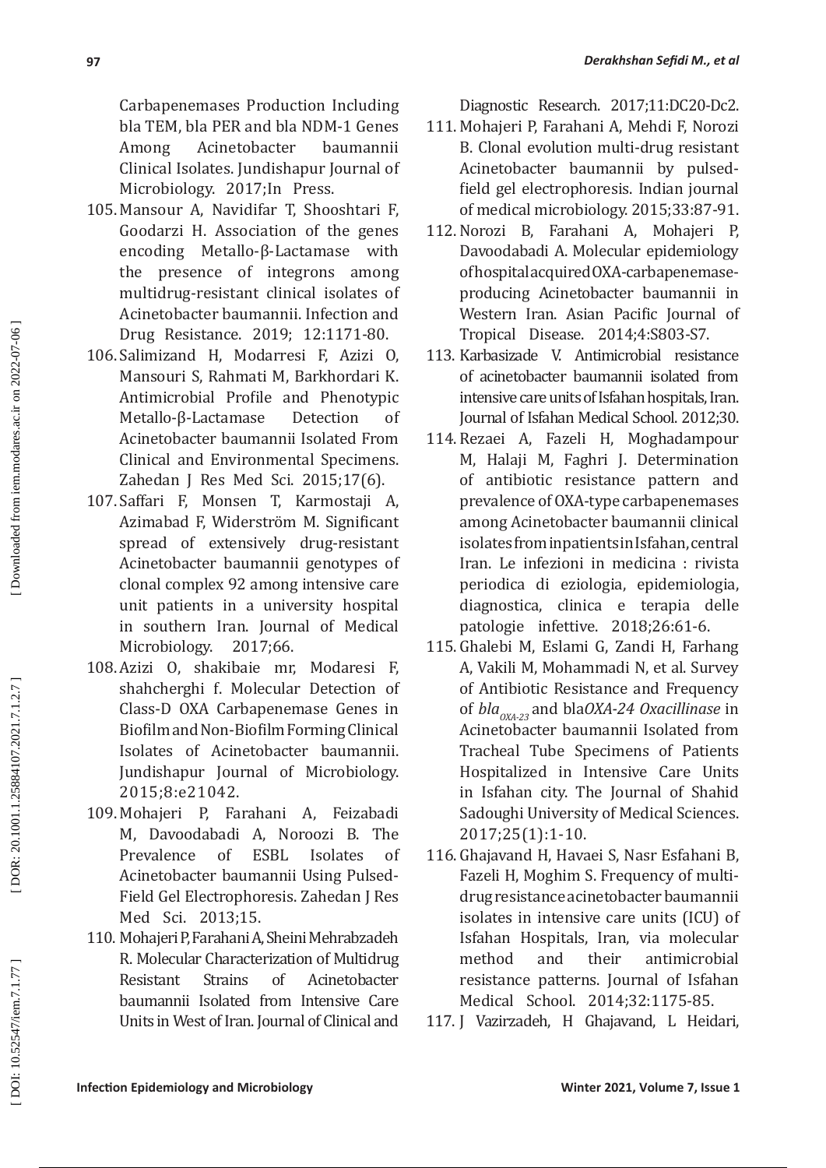Carbapenemases Production Including bla TEM, bla PER and bla NDM-1 Genes Among Acinetobacter baumannii Clinical Isolates. Jundishapur Journal of Microbiology. 2017;In Press.

- 105.Mansour A, Navidifar T, Shooshtari F, Goodarzi H. Association of the genes encoding Metallo-β-Lactamase with the presence of integrons among multidrug-resistant clinical isolates of Acinetobacter baumannii. Infection and Drug Resistance. 2019; 12:1171-80.
- 106. Salimizand H, Modarresi F, Azizi O, Mansouri S, Rahmati M, Barkhordari K. Antimicrobial Profile and Phenotypic<br>Metallo-B-Lactamase Detection of Metallo-β-Lactamase Detection of Acinetobacter baumannii Isolated From Clinical and Environmental Specimens. Zahedan J Res Med Sci. 2015;17(6).
- 107. Saffari F, Monsen T, Karmostaji A, Azimabad F, Widerström M. Significant spread of extensively drug-resistant Acinetobacter baumannii genotypes of clonal complex 92 among intensive care unit patients in a university hospital in southern Iran. Journal of Medical<br>Microbiology. 2017:66. Microbiology.
- 108. Azizi O, shakibaie mr, Modaresi F, shahcherghi f. Molecular Detection of Class-D OXA Carbapenemase Genes in Biofilm and Non-Biofilm Forming Clinical Isolates of Acinetobacter baumannii. Jundishapur Journal of Microbiology. 2015;8:e21042.
- 109. Mohajeri P, Farahani A, Feizabadi M, Davoodabadi A, Noroozi B. The Prevalence of ESBL Isolates of Acinetobacter baumannii Using Pulsed-Field Gel Electrophoresis. Zahedan J Res Med Sci. 2013;15.
- 110. Mohajeri P, Farahani A, Sheini Mehrabzadeh R. Molecular Characterization of Multidrug Resistant Strains of Acinetobacter baumannii Isolated from Intensive Care Units in West of Iran. Journal of Clinical and

Diagnostic Research. 2017;11:DC20-Dc2.

- 111. Mohajeri P, Farahani A, Mehdi F, Norozi B. Clonal evolution multi-drug resistant Acinetobacter baumannii by pulsedfield gel electrophoresis. Indian journal of medical microbiology. 2015;33:87-91.
- 112. Norozi B, Farahani A, Mohajeri P, Davoodabadi A. Molecular epidemiology of hospital acquired OXA-carbapenemaseproducing Acinetobacter baumannii in Western Iran. Asian Pacific Journal of Tropical Disease. 2014;4:S803-S7.
- 113. Karbasizade V. Antimicrobial resistance of acinetobacter baumannii isolated from intensive care units of Isfahan hospitals, Iran. Journal of Isfahan Medical School. 2012;30.
- 114. Rezaei A, Fazeli H, Moghadampour M, Halaji M, Faghri J. Determination of antibiotic resistance pattern and prevalence of OXA-type carbapenemases among Acinetobacter baumannii clinical isolates from inpatients in Isfahan, central Iran. Le infezioni in medicina : rivista periodica di eziologia, epidemiologia, diagnostica, clinica e terapia delle patologie infettive. 2018;26:61-6.
- 115. Ghalebi M, Eslami G, Zandi H, Farhang A, Vakili M, Mohammadi N, et al. Survey of Antibiotic Resistance and Frequency of *blaOXA-23* and bla*OXA-24 Oxacillinase* in Acinetobacter baumannii Isolated from Tracheal Tube Specimens of Patients Hospitalized in Intensive Care Units in Isfahan city. The Journal of Shahid Sadoughi University of Medical Sciences. 2017;25(1):1-10.
- 116. Ghajavand H, Havaei S, Nasr Esfahani B, Fazeli H, Moghim S. Frequency of multidrug resistance acinetobacter baumannii isolates in intensive care units (ICU) of Isfahan Hospitals, Iran, via molecular method and their antimicrobial resistance patterns. Journal of Isfahan Medical School. 2014;32:1175-85.
- 117. J Vazirzadeh, H Ghajavand, L Heidari,

**97**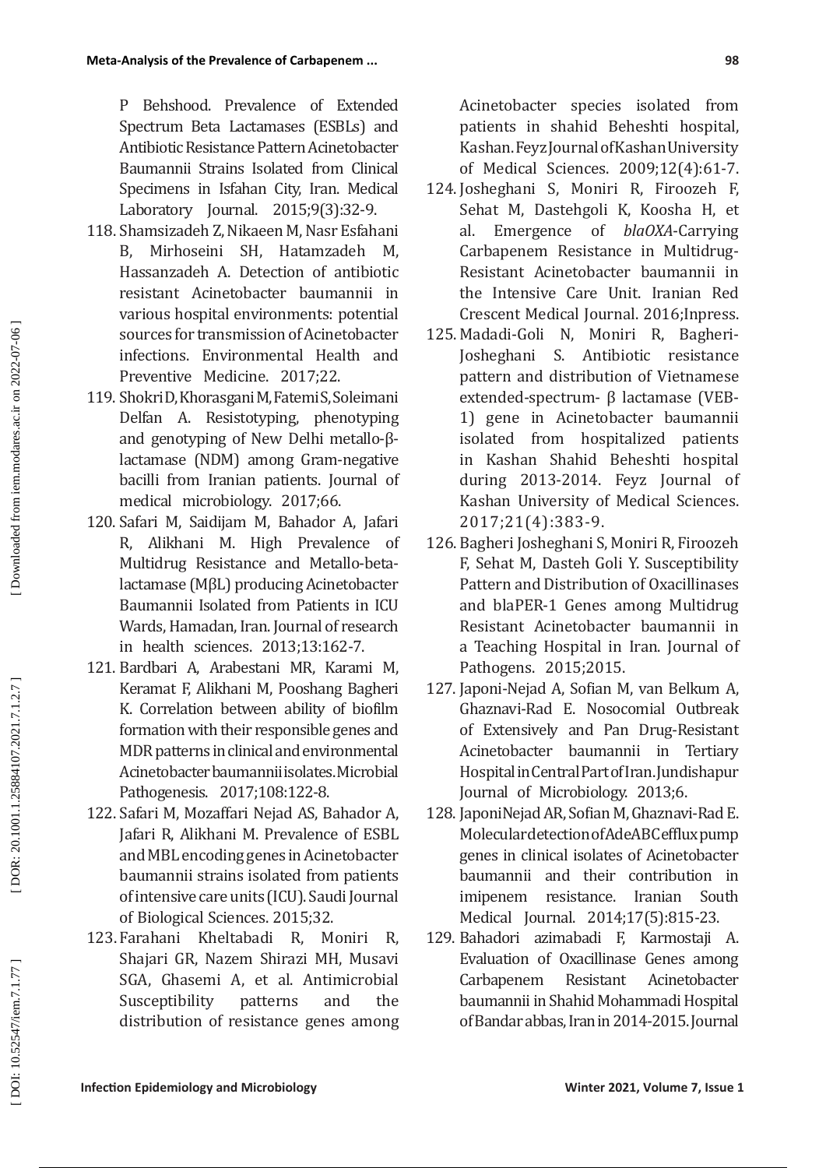P Behshood. Prevalence of Extended Spectrum Beta Lactamases (ESBLs) and Antibiotic Resistance Pattern Acinetobacter Baumannii Strains Isolated from Clinical Specimens in Isfahan City, Iran. Medical Laboratory Journal. 2015;9(3):32-9.

- 118. Shamsizadeh Z, Nikaeen M, Nasr Esfahani B, Mirhoseini SH, Hatamzadeh M, Hassanzadeh A. Detection of antibiotic resistant Acinetobacter baumannii in various hospital environments: potential sources for transmission of Acinetobacter infections. Environmental Health and Preventive Medicine. 2017;22.
- 119. Shokri D, Khorasgani M, Fatemi S, Soleimani Delfan A. Resistotyping, phenotyping and genotyping of New Delhi metallo-βlactamase (NDM) among Gram-negative bacilli from Iranian patients. Journal of medical microbiology. 2017;66.
- 120. Safari M, Saidijam M, Bahador A, Jafari R, Alikhani M. High Prevalence of Multidrug Resistance and Metallo-betalactamase (MβL) producing Acinetobacter Baumannii Isolated from Patients in ICU Wards, Hamadan, Iran. Journal of research in health sciences. 2013;13:162-7.
- 121. Bardbari A, Arabestani MR, Karami M, Keramat F, Alikhani M, Pooshang Bagheri K. Correlation between ability of biofilm formation with their responsible genes and MDR patterns in clinical and environmental Acinetobacter baumannii isolates. Microbial Pathogenesis. 2017;108:122-8.
- 122. Safari M, Mozaffari Nejad AS, Bahador A, Jafari R, Alikhani M. Prevalence of ESBL and MBL encoding genes in Acinetobacter baumannii strains isolated from patients of intensive care units (ICU). Saudi Journal of Biological Sciences. 2015;32.
- 123. Farahani Kheltabadi R, Moniri R, Shajari GR, Nazem Shirazi MH, Musavi SGA, Ghasemi A, et al. Antimicrobial Susceptibility patterns and the distribution of resistance genes among

Acinetobacter species isolated from patients in shahid Beheshti hospital, Kashan. Feyz Journal of Kashan University of Medical Sciences. 2009;12(4):61-7.

- 124. Josheghani S, Moniri R, Firoozeh F, Sehat M, Dastehgoli K, Koosha H, et al. Emergence of *blaOXA*-Carrying Carbapenem Resistance in Multidrug-Resistant Acinetobacter baumannii in the Intensive Care Unit. Iranian Red Crescent Medical Journal. 2016;Inpress.
- 125. Madadi-Goli N, Moniri R, Bagheri-Josheghani S. Antibiotic resistance pattern and distribution of Vietnamese extended-spectrum- β lactamase (VEB-1) gene in Acinetobacter baumannii isolated from hospitalized patients in Kashan Shahid Beheshti hospital during 2013-2014. Feyz Journal of Kashan University of Medical Sciences. 2017;21(4):383-9.
- 126. Bagheri Josheghani S, Moniri R, Firoozeh F, Sehat M, Dasteh Goli Y. Susceptibility Pattern and Distribution of Oxacillinases and blaPER-1 Genes among Multidrug Resistant Acinetobacter baumannii in a Teaching Hospital in Iran. Journal of Pathogens. 2015;2015.
- 127. Japoni-Nejad A, Sofian M, van Belkum A, Ghaznavi-Rad E. Nosocomial Outbreak of Extensively and Pan Drug-Resistant Acinetobacter baumannii in Tertiary Hospital in Central Part of Iran. Jundishapur Journal of Microbiology. 2013;6.
- 128. JaponiNejad AR, Sofian M, Ghaznavi-Rad E. Molecular detection of AdeABC efflux pump genes in clinical isolates of Acinetobacter baumannii and their contribution in imipenem resistance. Iranian South Medical Journal. 2014;17(5):815-23.
- 129. Bahadori azimabadi F, Karmostaji A. Evaluation of Oxacillinase Genes among<br>Carbanenem Resistant Acinetobacter Carbapenem Resistant Acinetobacter baumannii in Shahid Mohammadi Hospital of Bandar abbas, Iran in 2014-2015. Journal